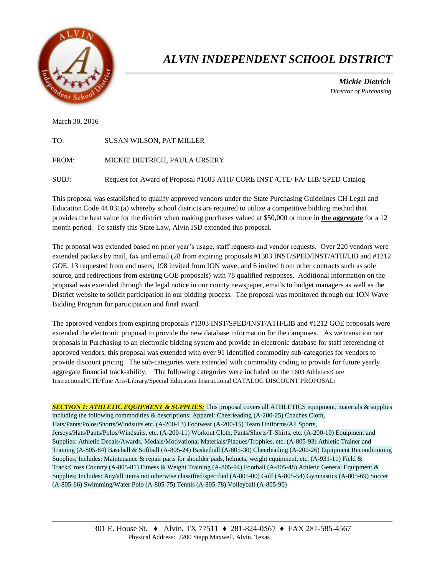

## *ALVIN INDEPENDENT SCHOOL DISTRICT*

 *Mickie Dietrich Director of Purchasing*

March 30, 2016

| TO:   | <b>SUSAN WILSON, PAT MILLER</b> |
|-------|---------------------------------|
| FROM: | MICKIE DIETRICH, PAULA URSERY   |

SUBJ: Request for Award of Proposal #1603 ATH/ CORE INST /CTE/ FA/ LIB/ SPED Catalog

This proposal was established to qualify approved vendors under the State Purchasing Guidelines CH Legal and Education Code 44.031(a) whereby school districts are required to utilize a competitive bidding method that provides the best value for the district when making purchases valued at \$50,000 or more in **the aggregate** for a 12 month period. To satisfy this State Law, Alvin ISD extended this proposal.

The proposal was extended based on prior year's usage, staff requests and vendor requests. Over 220 vendors were extended packets by mail, fax and email (28 from expiring proposals #1303 INST/SPED/INST/ATH/LIB and #1212 GOE, 13 requested from end users; 198 invited from ION wave; and 6 invited from other contracts such as sole source, and redirections from existing GOE proposals) with 78 qualified responses. Additional information on the proposal was extended through the legal notice in our county newspaper, emails to budget managers as well as the District website to solicit participation in our bidding process. The proposal was monitored through our ION Wave Bidding Program for participation and final award.

The approved vendors from expiring proposals #1303 INST/SPED/INST/ATH/LIB and #1212 GOE proposals were extended the electronic proposal to provide the new database information for the campuses. As we transition our proposals in Purchasing to an electronic bidding system and provide an electronic database for staff referencing of approved vendors, this proposal was extended with over 91 identified commodity sub-categories for vendors to provide discount pricing. The sub-categories were extended with commodity coding to provide for future yearly aggregate financial track-ability. The following categories were included on the 1603 Athletics/Core Instructional/CTE/Fine Arts/Library/Special Education Instructional CATALOG DISCOUNT PROPOSAL:

*SECTION 1: ATHLETIC EQUIPMENT & SUPPLIES:* This proposal covers all ATHLETICS equipment, materials & supplies including the following commodities & descriptions: Apparel: Cheerleading (A-200-25) Coaches Cloth, Hats/Pants/Polos/Shorts/Windsuits etc. (A-200-13) Footwear (A-200-15) Team Uniforms/All Sports, Jerseys/Hats/Pants/Polos/Windsuits, etc. (A-200-11) Workout Cloth, Pants/Shorts/T-Shirts, etc. (A-200-10) Equipment and Supplies: Athletic Decals/Awards, Medals/Motivational Materials/Plaques/Trophies, etc. (A-805-93) Athletic Trainer and Training (A-805-84) Baseball & Softball (A-805-24) Basketball (A-805-30) Cheerleading (A-200-26) Equipment Reconditioning Supplies; Includes: Maintenance & repair parts for shoulder pads, helmets, weight equipment, etc.  $(A-931-11)$  Field & Track/Cross Country (A-805-81) Fitness & Weight Training (A-805-94) Football (A-805-48) Athletic General Equipment & Supplies; Includes: Any/all items not otherwise classified/specified (A-805-00) Golf (A-805-54) Gymnastics (A-805-69) Soccer (A-805-66) Swimming/Water Polo (A-805-75) Tennis (A-805-78) Volleyball (A-805-90)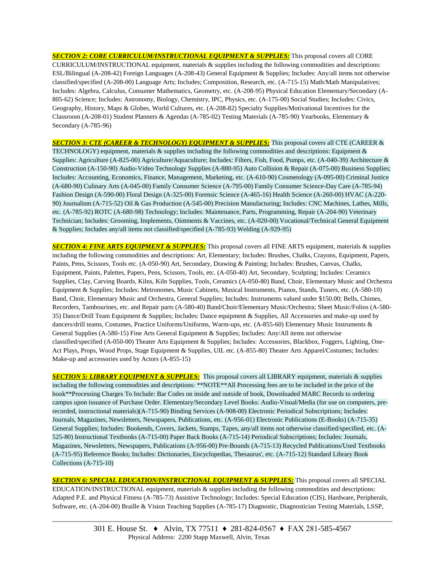*SECTION 2: CORE CURRICULUM/INSTRUCTIONAL EQUIPMENT & SUPPLIES:* This proposal covers all CORE CURRICULUM/INSTRUCTIONAL equipment, materials & supplies including the following commodities and descriptions: ESL/Bilingual (A-208-42) Foreign Languages (A-208-43) General Equipment & Supplies; Includes: Any/all items not otherwise classified/specified (A-208-00) Language Arts; Includes; Composition, Research, etc. (A-715-15) Math/Math Manipulatives; Includes: Algebra, Calculus, Consumer Mathematics, Geometry, etc. (A-208-95) Physical Education Elementary/Secondary (A-805-62) Science; Includes: Astronomy, Biology, Chemistry, IPC, Physics, etc. (A-175-00) Social Studies; Includes: Civics, Geography, History, Maps & Globes, World Cultures, etc. (A-208-82) Specialty Supplies/Motivational Incentives for the Classroom (A-208-01) Student Planners & Agendas (A-785-02) Testing Materials (A-785-90) Yearbooks, Elementary & Secondary (A-785-96)

*SECTION 3: CTE (CAREER & TECHNOLOGY) EQUIPMENT & SUPPLIES:* This proposal covers all CTE (CAREER & TECHNOLOGY) equipment, materials & supplies including the following commodities and descriptions: Equipment & Supplies: Agriculture (A-825-00) Agriculture/Aquaculture; Includes: Filters, Fish, Food, Pumps, etc. (A-040-39) Architecture & Construction (A-150-90) Audio-Video Technology Supplies (A-880-95) Auto Collision & Repair (A-075-00) Business Supplies; Includes: Accounting, Economics, Finance, Management, Marketing, etc. (A-610-90) Cosmetology (A-095-00) Criminal Justice (A-680-90) Culinary Arts (A-045-00) Family Consumer Science (A-795-00) Family Consumer Science-Day Care (A-785-94) Fashion Design (A-590-00) Floral Design (A-325-00) Forensic Science (A-465-16) Health Science (A-260-00) HVAC (A-220- 90) Journalism (A-715-52) Oil & Gas Production (A-545-00) Precision Manufacturing; Includes: CNC Machines, Lathes, Mills, etc. (A-785-92) ROTC (A-680-98) Technology; Includes: Maintenance, Parts, Programming, Repair (A-204-90) Veterinary Technician; Includes: Grooming, Implements, Ointments & Vaccines, etc. (A-020-00) Vocational/Technical General Equipment & Supplies; Includes any/all items not classified/specified (A-785-93) Welding (A-929-95)

*SECTION 4: FINE ARTS EQUIPMENT & SUPPLIES:* This proposal covers all FINE ARTS equipment, materials & supplies including the following commodities and descriptions: Art, Elementary; Includes: Brushes, Chalks, Crayons, Equipment, Papers, Paints, Pens, Scissors, Tools etc. (A-050-90) Art, Secondary, Drawing & Painting; Includes: Brushes, Canvas, Chalks, Equipment, Paints, Palettes, Papers, Pens, Scissors, Tools, etc. (A-050-40) Art, Secondary, Sculpting; Includes: Ceramics Supplies, Clay, Carving Boards, Kilns, Kiln Supplies, Tools, Ceramics (A-050-80) Band, Choir, Elementary Music and Orchestra Equipment & Supplies; Includes: Metronomes, Music Cabinets, Musical Instruments, Pianos, Stands, Tuners, etc. (A-580-10) Band, Choir, Elementary Music and Orchestra, General Supplies; Includes: Instruments valued under \$150.00; Bells, Chimes, Recorders, Tambourines, etc. and Repair parts (A-580-40) Band/Choir/Elementary Music/Orchestra; Sheet Music/Folios (A-580- 35) Dance/Drill Team Equipment & Supplies; Includes: Dance equipment & Supplies, All Accessories and make-up used by dancers/drill teams, Costumes, Practice Uniforms/Uniforms, Warm-ups, etc. (A-855-60) Elementary Music Instruments & General Supplies (A-580-15) Fine Arts General Equipment & Supplies; Includes: Any/All items not otherwise classified/specified (A-050-00) Theater Arts Equipment & Supplies; Includes: Accessories, Blackbox, Foggers, Lighting, One-Act Plays, Props, Wood Props, Stage Equipment & Supplies, UIL etc. (A-855-80) Theater Arts Apparel/Costumes; Includes: Make-up and accessories used by Actors (A-855-15)

**SECTION 5: LIBRARY EQUIPMENT & SUPPLIES:** This proposal covers all LIBRARY equipment, materials & supplies including the following commodities and descriptions: \*\*NOTE\*\*All Processing fees are to be included in the price of the book\*\*Processing Charges To Include: Bar Codes on inside and outside of book, Downloaded MARC Records to ordering campus upon issuance of Purchase Order. Elementary/Secondary Level Books: Audio-Visual/Media (for use on computers, prerecorded, instructional materials)(A-715-90) Binding Services (A-908-00) Electronic Periodical Subscriptions; Includes: Journals, Magazines, Newsletters, Newspapers, Publications, etc. (A-956-01) Electronic Publications (E-Books) (A-715-35) General Supplies; Includes: Bookends, Covers, Jackets, Stamps, Tapes, any/all items not otherwise classified/specified, etc. (A-525-80) Instructional Textbooks (A-715-00) Paper Back Books (A-715-14) Periodical Subscriptions; Includes: Journals, Magazines, Newsletters, Newspapers, Publications (A-956-00) Pre-Bounds (A-715-13) Recycled Publications/Used Textbooks (A-715-95) Reference Books; Includes: Dictionaries, Encyclopedias, Thesaurus', etc. (A-715-12) Standard Library Book Collections (A-715-10)

*SECTION 6: SPECIAL EDUCATION/INSTRUCTIONAL EQUIPMENT & SUPPLIES:* This proposal covers all SPECIAL EDUCATION/INSTRUCTIONAL equipment, materials & supplies including the following commodities and descriptions: Adapted P.E. and Physical Fitness (A-785-73) Assistive Technology; Includes: Special Education (CIS), Hardware, Peripherals, Software, etc. (A-204-00) Braille & Vision Teaching Supplies (A-785-17) Diagnostic, Diagnostician Testing Materials, LSSP,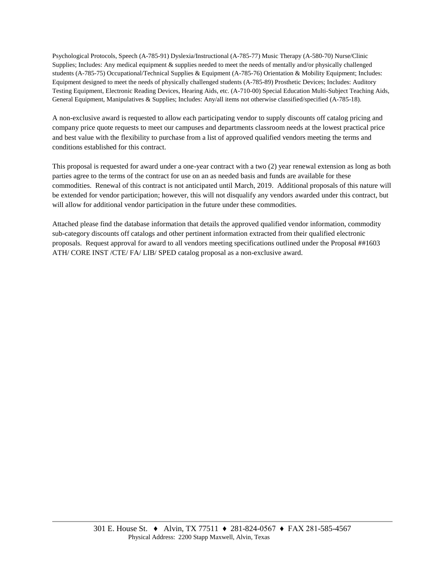Psychological Protocols, Speech (A-785-91) Dyslexia/Instructional (A-785-77) Music Therapy (A-580-70) Nurse/Clinic Supplies; Includes: Any medical equipment & supplies needed to meet the needs of mentally and/or physically challenged students (A-785-75) Occupational/Technical Supplies & Equipment (A-785-76) Orientation & Mobility Equipment; Includes: Equipment designed to meet the needs of physically challenged students (A-785-89) Prosthetic Devices; Includes: Auditory Testing Equipment, Electronic Reading Devices, Hearing Aids, etc. (A-710-00) Special Education Multi-Subject Teaching Aids, General Equipment, Manipulatives & Supplies; Includes: Any/all items not otherwise classified/specified (A-785-18).

A non-exclusive award is requested to allow each participating vendor to supply discounts off catalog pricing and company price quote requests to meet our campuses and departments classroom needs at the lowest practical price and best value with the flexibility to purchase from a list of approved qualified vendors meeting the terms and conditions established for this contract.

This proposal is requested for award under a one-year contract with a two (2) year renewal extension as long as both parties agree to the terms of the contract for use on an as needed basis and funds are available for these commodities. Renewal of this contract is not anticipated until March, 2019. Additional proposals of this nature will be extended for vendor participation; however, this will not disqualify any vendors awarded under this contract, but will allow for additional vendor participation in the future under these commodities.

Attached please find the database information that details the approved qualified vendor information, commodity sub-category discounts off catalogs and other pertinent information extracted from their qualified electronic proposals. Request approval for award to all vendors meeting specifications outlined under the Proposal ##1603 ATH/ CORE INST /CTE/ FA/ LIB/ SPED catalog proposal as a non-exclusive award.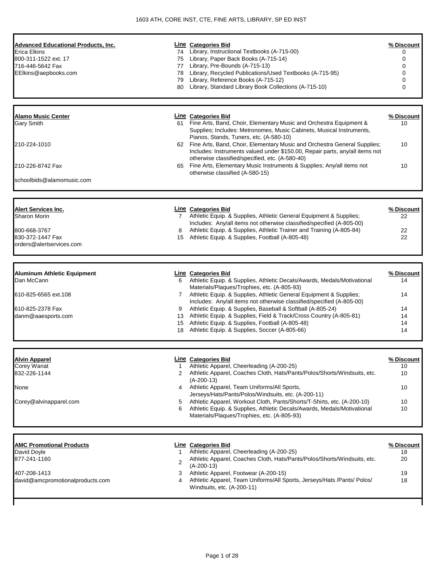| <b>Advanced Educational Products, Inc.</b><br>Erica Elkins<br>800-311-1522 ext. 17<br>716-446-5642 Fax<br>EElkins@aepbooks.com | 80                  | Line Categories Bid<br>74 Library, Instructional Textbooks (A-715-00)<br>75 Library, Paper Back Books (A-715-14)<br>77 Library, Pre-Bounds (A-715-13)<br>78 Library, Recycled Publications/Used Textbooks (A-715-95)<br>79 Library, Reference Books (A-715-12)<br>Library, Standard Library Book Collections (A-715-10) | % Discount<br>0<br>0<br>0<br>$\Omega$<br>0<br>0 |
|--------------------------------------------------------------------------------------------------------------------------------|---------------------|-------------------------------------------------------------------------------------------------------------------------------------------------------------------------------------------------------------------------------------------------------------------------------------------------------------------------|-------------------------------------------------|
|                                                                                                                                |                     |                                                                                                                                                                                                                                                                                                                         |                                                 |
| <b>Alamo Music Center</b><br>Gary Smith                                                                                        |                     | <b>Line Categories Bid</b><br>61 Fine Arts, Band, Choir, Elementary Music and Orchestra Equipment &<br>Supplies; Includes: Metronomes, Music Cabinets, Musical Instruments,                                                                                                                                             | % Discount<br>10                                |
| 210-224-1010                                                                                                                   |                     | Pianos, Stands, Tuners, etc. (A-580-10)<br>62 Fine Arts, Band, Choir, Elementary Music and Orchestra General Supplies;<br>Includes: Instruments valued under \$150.00, Repair parts, any/all items not                                                                                                                  | 10                                              |
| 210-226-8742 Fax                                                                                                               |                     | otherwise classified/specified, etc. (A-580-40)<br>65 Fine Arts, Elementary Music Instruments & Supplies; Any/all items not<br>otherwise classified (A-580-15)                                                                                                                                                          | 10                                              |
| schoolbids@alamomusic.com                                                                                                      |                     |                                                                                                                                                                                                                                                                                                                         |                                                 |
| <b>Alert Services Inc.</b>                                                                                                     |                     | <b>Line Categories Bid</b>                                                                                                                                                                                                                                                                                              | % Discount                                      |
| Sharon Morin                                                                                                                   |                     | 7 Athletic Equip. & Supplies, Athletic General Equipment & Supplies;<br>Includes: Any/all items not otherwise classified/specified (A-805-00)                                                                                                                                                                           | 22                                              |
| 800-668-3767<br>830-372-1447 Fax<br>orders@alertservices.com                                                                   | 8                   | Athletic Equip. & Supplies, Athletic Trainer and Training (A-805-84)<br>15 Athletic Equip. & Supplies, Football (A-805-48)                                                                                                                                                                                              | 22<br>22                                        |
|                                                                                                                                |                     |                                                                                                                                                                                                                                                                                                                         |                                                 |
| <b>Aluminum Athletic Equipment</b><br>Dan McCann                                                                               | 6                   | Line Categories Bid<br>Athletic Equip. & Supplies, Athletic Decals/Awards, Medals/Motivational<br>Materials/Plaques/Trophies, etc. (A-805-93)                                                                                                                                                                           | % Discount<br>14                                |
| 610-825-6565 ext.108                                                                                                           | $\overline{7}$      | Athletic Equip. & Supplies, Athletic General Equipment & Supplies;<br>Includes: Any/all items not otherwise classified/specified (A-805-00)                                                                                                                                                                             | 14                                              |
| 610-825-2378 Fax                                                                                                               | 9                   | Athletic Equip. & Supplies, Baseball & Softball (A-805-24)                                                                                                                                                                                                                                                              | 14                                              |
| danm@aaesports.com                                                                                                             | 18                  | 13 Athletic Equip. & Supplies, Field & Track/Cross Country (A-805-81)<br>15 Athletic Equip. & Supplies, Football (A-805-48)<br>Athletic Equip. & Supplies, Soccer (A-805-66)                                                                                                                                            | 14<br>14<br>14                                  |
|                                                                                                                                |                     |                                                                                                                                                                                                                                                                                                                         |                                                 |
| <b>Alvin Apparel</b><br>Corey Wanat                                                                                            | 1                   | Line Categories Bid<br>Athletic Apparel, Cheerleading (A-200-25)                                                                                                                                                                                                                                                        | % Discount<br>10                                |
| 832-226-1144                                                                                                                   | 2                   | Athletic Apparel, Coaches Cloth, Hats/Pants/Polos/Shorts/Windsuits, etc.<br>$(A-200-13)$                                                                                                                                                                                                                                | 10                                              |
| None                                                                                                                           | 4                   | Athletic Apparel, Team Uniforms/All Sports,<br>Jerseys/Hats/Pants/Polos/Windsuits, etc. (A-200-11)                                                                                                                                                                                                                      | 10                                              |
| Corey@alvinapparel.com                                                                                                         | 5<br>6              | Athletic Apparel, Workout Cloth, Pants/Shorts/T-Shirts, etc. (A-200-10)<br>Athletic Equip. & Supplies, Athletic Decals/Awards, Medals/Motivational<br>Materials/Plaques/Trophies, etc. (A-805-93)                                                                                                                       | 10<br>10                                        |
| <b>AMC Promotional Products</b>                                                                                                |                     | Line Categories Bid                                                                                                                                                                                                                                                                                                     | % Discount                                      |
| David Doyle<br>877-241-1160                                                                                                    | 1<br>$\overline{2}$ | Athletic Apparel, Cheerleading (A-200-25)<br>Athletic Apparel, Coaches Cloth, Hats/Pants/Polos/Shorts/Windsuits, etc.                                                                                                                                                                                                   | 18<br>20                                        |
| 407-208-1413<br>david@amcpromotionalproducts.com                                                                               | 3<br>4              | $(A-200-13)$<br>Athletic Apparel, Footwear (A-200-15)<br>Athletic Apparel, Team Uniforms/All Sports, Jerseys/Hats /Pants/ Polos/<br>Windsuits, etc. (A-200-11)                                                                                                                                                          | 19<br>18                                        |
|                                                                                                                                |                     |                                                                                                                                                                                                                                                                                                                         |                                                 |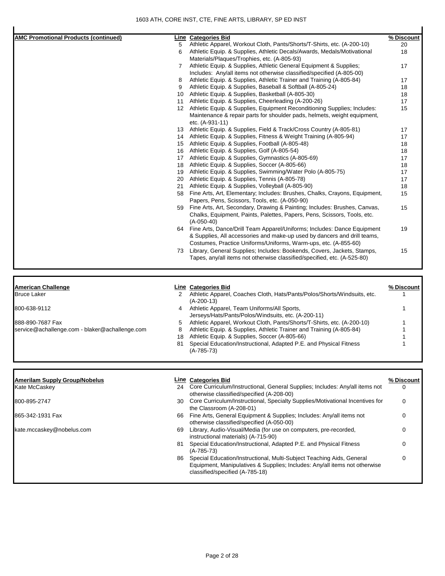| <b>AMC Promotional Products (continued)</b>    |                       | <b>Line Categories Bid</b>                                                                                                                             | % Discount  |
|------------------------------------------------|-----------------------|--------------------------------------------------------------------------------------------------------------------------------------------------------|-------------|
|                                                | 5                     | Athletic Apparel, Workout Cloth, Pants/Shorts/T-Shirts, etc. (A-200-10)                                                                                | 20          |
|                                                | 6                     | Athletic Equip. & Supplies, Athletic Decals/Awards, Medals/Motivational                                                                                | 18          |
|                                                |                       | Materials/Plaques/Trophies, etc. (A-805-93)                                                                                                            |             |
|                                                | $\overline{7}$        | Athletic Equip. & Supplies, Athletic General Equipment & Supplies;                                                                                     | 17          |
|                                                |                       | Includes: Any/all items not otherwise classified/specified (A-805-00)                                                                                  |             |
|                                                | 8                     | Athletic Equip. & Supplies, Athletic Trainer and Training (A-805-84)                                                                                   | 17          |
|                                                | 9                     | Athletic Equip. & Supplies, Baseball & Softball (A-805-24)                                                                                             | 18          |
|                                                | 10                    | Athletic Equip. & Supplies, Basketball (A-805-30)                                                                                                      | 18          |
|                                                | 11                    | Athletic Equip. & Supplies, Cheerleading (A-200-26)                                                                                                    | 17          |
|                                                |                       | 12 Athletic Equip. & Supplies, Equipment Reconditioning Supplies; Includes:                                                                            | 15          |
|                                                |                       | Maintenance & repair parts for shoulder pads, helmets, weight equipment,                                                                               |             |
|                                                |                       | etc. (A-931-11)                                                                                                                                        |             |
|                                                |                       | 13 Athletic Equip. & Supplies, Field & Track/Cross Country (A-805-81)                                                                                  | 17          |
|                                                |                       | 14 Athletic Equip. & Supplies, Fitness & Weight Training (A-805-94)                                                                                    | 17          |
|                                                |                       | 15 Athletic Equip. & Supplies, Football (A-805-48)                                                                                                     | 18          |
|                                                |                       | 16 Athletic Equip. & Supplies, Golf (A-805-54)                                                                                                         | 18          |
|                                                |                       | 17 Athletic Equip. & Supplies, Gymnastics (A-805-69)                                                                                                   | 17          |
|                                                |                       | 18 Athletic Equip. & Supplies, Soccer (A-805-66)                                                                                                       | 18          |
|                                                | 19                    | Athletic Equip. & Supplies, Swimming/Water Polo (A-805-75)                                                                                             | 17          |
|                                                | 20                    | Athletic Equip. & Supplies, Tennis (A-805-78)                                                                                                          | 17          |
|                                                | 21                    | Athletic Equip. & Supplies, Volleyball (A-805-90)                                                                                                      | 18          |
|                                                |                       | 58 Fine Arts, Art, Elementary; Includes: Brushes, Chalks, Crayons, Equipment,                                                                          | 15          |
|                                                |                       | Papers, Pens, Scissors, Tools, etc. (A-050-90)                                                                                                         |             |
|                                                | 59                    | Fine Arts, Art, Secondary, Drawing & Painting; Includes: Brushes, Canvas,                                                                              | 15          |
|                                                |                       | Chalks, Equipment, Paints, Palettes, Papers, Pens, Scissors, Tools, etc.                                                                               |             |
|                                                |                       | $(A-050-40)$                                                                                                                                           |             |
|                                                |                       | 64 Fine Arts, Dance/Drill Team Apparel/Uniforms; Includes: Dance Equipment                                                                             | 19          |
|                                                |                       | & Supplies, All accessories and make-up used by dancers and drill teams,                                                                               |             |
|                                                |                       | Costumes, Practice Uniforms/Uniforms, Warm-ups, etc. (A-855-60)                                                                                        |             |
|                                                | 73                    | Library, General Supplies; Includes: Bookends, Covers, Jackets, Stamps,<br>Tapes, any/all items not otherwise classified/specified, etc. (A-525-80)    | 15          |
|                                                |                       |                                                                                                                                                        |             |
| American Challenge                             |                       | <b>Line Categories Bid</b>                                                                                                                             | % Discount  |
| Bruce Laker                                    | $\mathbf{2}^{\prime}$ | Athletic Apparel, Coaches Cloth, Hats/Pants/Polos/Shorts/Windsuits, etc.                                                                               | 1           |
| 800-638-9112                                   | 4                     | $(A-200-13)$<br>Athletic Apparel, Team Uniforms/All Sports,                                                                                            | 1           |
|                                                |                       | Jerseys/Hats/Pants/Polos/Windsuits, etc. (A-200-11)                                                                                                    |             |
| 888-890-7687 Fax                               | 5                     | Athletic Apparel, Workout Cloth, Pants/Shorts/T-Shirts, etc. (A-200-10)                                                                                |             |
| service@achallenge.com - blaker@achallenge.com | 8                     | Athletic Equip. & Supplies, Athletic Trainer and Training (A-805-84)                                                                                   |             |
|                                                | 18                    | Athletic Equip. & Supplies, Soccer (A-805-66)                                                                                                          |             |
|                                                | 81                    | Special Education/Instructional, Adapted P.E. and Physical Fitness<br>$(A-785-73)$                                                                     | 1           |
|                                                |                       |                                                                                                                                                        |             |
| <b>Amerilam Supply Group/Nobelus</b>           |                       | <b>Line Categories Bid</b>                                                                                                                             | % Discount  |
| Kate McCaskey                                  |                       | 24 Core Curriculum/Instructional, General Supplies; Includes: Any/all items not                                                                        | $\Omega$    |
|                                                |                       | otherwise classified/specified (A-208-00)                                                                                                              |             |
| 800-895-2747                                   |                       | 30 Core Curriculum/Instructional, Specialty Supplies/Motivational Incentives for<br>the Classroom (A-208-01)                                           | $\mathbf 0$ |
| 865-342-1931 Fax                               |                       | 66 Fine Arts, General Equipment & Supplies; Includes: Any/all items not<br>otherwise classified/specified (A-050-00)                                   | 0           |
| kate.mccaskey@nobelus.com                      |                       | 69 Library, Audio-Visual/Media (for use on computers, pre-recorded,                                                                                    | 0           |
|                                                |                       | instructional materials) (A-715-90)                                                                                                                    |             |
|                                                |                       | 81 Special Education/Instructional, Adapted P.E. and Physical Fitness<br>$(A-785-73)$                                                                  | 0           |
|                                                |                       | 86 Special Education/Instructional, Multi-Subject Teaching Aids, General<br>Equipment, Manipulatives & Supplies; Includes: Any/all items not otherwise | 0           |

classified/specified (A-785-18)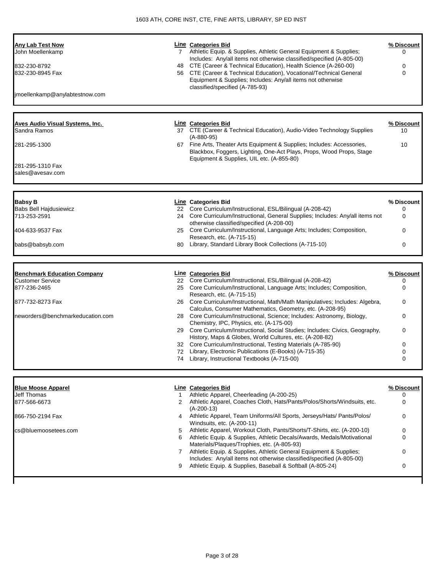| <b>Any Lab Test Now</b><br>John Moellenkamp<br>832-230-8792<br>832-230-8945 Fax<br>jmoellenkamp@anylabtestnow.com | $7^{\circ}$<br>48 | <b>Line Categories Bid</b><br>Athletic Equip. & Supplies, Athletic General Equipment & Supplies;<br>Includes: Any/all items not otherwise classified/specified (A-805-00)<br>CTE (Career & Technical Education), Health Science (A-260-00)<br>56 CTE (Career & Technical Education), Vocational/Technical General<br>Equipment & Supplies; Includes: Any/all items not otherwise<br>classified/specified (A-785-93) | % Discount<br>0<br>0<br>0 |
|-------------------------------------------------------------------------------------------------------------------|-------------------|---------------------------------------------------------------------------------------------------------------------------------------------------------------------------------------------------------------------------------------------------------------------------------------------------------------------------------------------------------------------------------------------------------------------|---------------------------|
|                                                                                                                   |                   |                                                                                                                                                                                                                                                                                                                                                                                                                     |                           |
| <b>Aves Audio Visual Systems, Inc.</b><br>Sandra Ramos                                                            |                   | <b>Line Categories Bid</b><br>37 CTE (Career & Technical Education), Audio-Video Technology Supplies<br>$(A-880-95)$                                                                                                                                                                                                                                                                                                | % Discount<br>10          |
| 281-295-1300                                                                                                      |                   | 67 Fine Arts, Theater Arts Equipment & Supplies; Includes: Accessories,<br>Blackbox, Foggers, Lighting, One-Act Plays, Props, Wood Props, Stage<br>Equipment & Supplies, UIL etc. (A-855-80)                                                                                                                                                                                                                        | 10                        |
| 281-295-1310 Fax<br>sales@avesav.com                                                                              |                   |                                                                                                                                                                                                                                                                                                                                                                                                                     |                           |
|                                                                                                                   |                   | Line Categories Bid                                                                                                                                                                                                                                                                                                                                                                                                 | % Discount                |
| <b>Babsy B</b><br><b>Babs Bell Hajdusiewicz</b>                                                                   |                   | 22 Core Curriculum/Instructional, ESL/Bilingual (A-208-42)                                                                                                                                                                                                                                                                                                                                                          | 0                         |
| 713-253-2591                                                                                                      |                   | 24 Core Curriculum/Instructional, General Supplies; Includes: Any/all items not                                                                                                                                                                                                                                                                                                                                     | 0                         |
| 404-633-9537 Fax                                                                                                  |                   | otherwise classified/specified (A-208-00)<br>25 Core Curriculum/Instructional, Language Arts; Includes; Composition,<br>Research, etc. (A-715-15)                                                                                                                                                                                                                                                                   | 0                         |
| babs@babsyb.com                                                                                                   | 80                | Library, Standard Library Book Collections (A-715-10)                                                                                                                                                                                                                                                                                                                                                               | 0                         |
|                                                                                                                   |                   |                                                                                                                                                                                                                                                                                                                                                                                                                     |                           |
| <b>Benchmark Education Company</b>                                                                                |                   | <b>Line Categories Bid</b>                                                                                                                                                                                                                                                                                                                                                                                          | % Discount                |
| <b>Customer Service</b><br>877-236-2465                                                                           | 25                | 22 Core Curriculum/Instructional, ESL/Bilingual (A-208-42)<br>Core Curriculum/Instructional, Language Arts; Includes; Composition,<br>Research, etc. (A-715-15)                                                                                                                                                                                                                                                     | 0<br>0                    |
| 877-732-8273 Fax                                                                                                  | 26                | Core Curriculum/Instructional, Math/Math Manipulatives; Includes: Algebra,<br>Calculus, Consumer Mathematics, Geometry, etc. (A-208-95)                                                                                                                                                                                                                                                                             | 0                         |
| neworders@benchmarkeducation.com                                                                                  |                   | 28 Core Curriculum/Instructional, Science; Includes: Astronomy, Biology,<br>Chemistry, IPC, Physics, etc. (A-175-00)                                                                                                                                                                                                                                                                                                | 0                         |
|                                                                                                                   |                   | 29 Core Curriculum/Instructional, Social Studies; Includes: Civics, Geography,<br>History, Maps & Globes, World Cultures, etc. (A-208-82)                                                                                                                                                                                                                                                                           | 0                         |
|                                                                                                                   | 32                | Core Curriculum/Instructional, Testing Materials (A-785-90)<br>72 Library, Electronic Publications (E-Books) (A-715-35)                                                                                                                                                                                                                                                                                             | 0<br>0                    |
|                                                                                                                   | 74                | Library, Instructional Textbooks (A-715-00)                                                                                                                                                                                                                                                                                                                                                                         | 0                         |
|                                                                                                                   |                   |                                                                                                                                                                                                                                                                                                                                                                                                                     |                           |
| <b>Blue Moose Apparel</b><br>Jeff Thomas                                                                          | $\mathbf{1}$      | <b>Line Categories Bid</b><br>Athletic Apparel, Cheerleading (A-200-25)                                                                                                                                                                                                                                                                                                                                             | % Discount<br>0           |
| 877-566-6673                                                                                                      |                   | 2 Athletic Apparel, Coaches Cloth, Hats/Pants/Polos/Shorts/Windsuits, etc.<br>$(A-200-13)$                                                                                                                                                                                                                                                                                                                          | 0                         |
| 866-750-2194 Fax                                                                                                  |                   | 4 Athletic Apparel, Team Uniforms/All Sports, Jerseys/Hats/ Pants/Polos/<br>Windsuits, etc. (A-200-11)                                                                                                                                                                                                                                                                                                              | 0                         |
| cs@bluemoosetees.com                                                                                              | 5<br>6            | Athletic Apparel, Workout Cloth, Pants/Shorts/T-Shirts, etc. (A-200-10)<br>Athletic Equip. & Supplies, Athletic Decals/Awards, Medals/Motivational                                                                                                                                                                                                                                                                  | 0<br>0                    |
|                                                                                                                   |                   | Materials/Plaques/Trophies, etc. (A-805-93)                                                                                                                                                                                                                                                                                                                                                                         |                           |
|                                                                                                                   |                   | 7 Athletic Equip. & Supplies, Athletic General Equipment & Supplies;                                                                                                                                                                                                                                                                                                                                                | 0                         |
|                                                                                                                   |                   |                                                                                                                                                                                                                                                                                                                                                                                                                     |                           |
|                                                                                                                   | 9                 | Includes: Any/all items not otherwise classified/specified (A-805-00)<br>Athletic Equip. & Supplies, Baseball & Softball (A-805-24)                                                                                                                                                                                                                                                                                 | 0                         |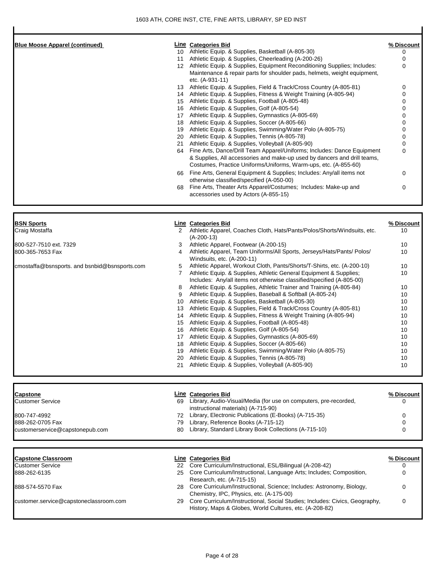| <b>Blue Moose Apparel (continued)</b>         |    | <b>Line Categories Bid</b>                                                                                                                              | % Discount |
|-----------------------------------------------|----|---------------------------------------------------------------------------------------------------------------------------------------------------------|------------|
|                                               |    | 10 Athletic Equip. & Supplies, Basketball (A-805-30)                                                                                                    | 0          |
|                                               |    | 11 Athletic Equip. & Supplies, Cheerleading (A-200-26)                                                                                                  | 0          |
|                                               |    | 12 Athletic Equip. & Supplies, Equipment Reconditioning Supplies; Includes:<br>Maintenance & repair parts for shoulder pads, helmets, weight equipment, | 0          |
|                                               |    | etc. (A-931-11)<br>13 Athletic Equip. & Supplies, Field & Track/Cross Country (A-805-81)                                                                |            |
|                                               |    |                                                                                                                                                         | 0<br>0     |
|                                               |    | 14 Athletic Equip. & Supplies, Fitness & Weight Training (A-805-94)<br>15 Athletic Equip. & Supplies, Football (A-805-48)                               | 0          |
|                                               |    | 16 Athletic Equip. & Supplies, Golf (A-805-54)                                                                                                          | 0          |
|                                               |    | 17 Athletic Equip. & Supplies, Gymnastics (A-805-69)                                                                                                    | 0          |
|                                               |    | 18 Athletic Equip. & Supplies, Soccer (A-805-66)                                                                                                        | 0          |
|                                               | 19 | Athletic Equip. & Supplies, Swimming/Water Polo (A-805-75)                                                                                              | 0          |
|                                               |    | 20 Athletic Equip. & Supplies, Tennis (A-805-78)                                                                                                        | 0          |
|                                               | 21 | Athletic Equip. & Supplies, Volleyball (A-805-90)                                                                                                       | 0          |
|                                               | 64 | Fine Arts, Dance/Drill Team Apparel/Uniforms; Includes: Dance Equipment                                                                                 | 0          |
|                                               |    | & Supplies, All accessories and make-up used by dancers and drill teams,<br>Costumes, Practice Uniforms/Uniforms, Warm-ups, etc. (A-855-60)             |            |
|                                               | 66 | Fine Arts, General Equipment & Supplies; Includes: Any/all items not<br>otherwise classified/specified (A-050-00)                                       | 0          |
|                                               | 68 | Fine Arts, Theater Arts Apparel/Costumes; Includes: Make-up and<br>accessories used by Actors (A-855-15)                                                | 0          |
|                                               |    |                                                                                                                                                         |            |
| <b>BSN Sports</b>                             |    | <b>Line Categories Bid</b>                                                                                                                              | % Discount |
| Craig Mostaffa                                | 2  | Athletic Apparel, Coaches Cloth, Hats/Pants/Polos/Shorts/Windsuits, etc.<br>$(A-200-13)$                                                                | 10         |
| 800-527-7510 ext. 7329                        | 3  | Athletic Apparel, Footwear (A-200-15)                                                                                                                   | 10         |
| 800-365-7653 Fax                              | 4  | Athletic Apparel, Team Uniforms/All Sports, Jerseys/Hats/Pants/ Polos/<br>Windsuits, etc. (A-200-11)                                                    | 10         |
| cmostaffa@bsnsports. and bsnbid@bsnsports.com | 5  | Athletic Apparel, Workout Cloth, Pants/Shorts/T-Shirts, etc. (A-200-10)                                                                                 | 10         |
|                                               | 7  | Athletic Equip. & Supplies, Athletic General Equipment & Supplies;<br>Includes: Any/all items not otherwise classified/specified (A-805-00)             | 10         |
|                                               | 8  | Athletic Equip. & Supplies, Athletic Trainer and Training (A-805-84)                                                                                    | 10         |
|                                               | 9  | Athletic Equip. & Supplies, Baseball & Softball (A-805-24)                                                                                              | 10         |
|                                               | 10 | Athletic Equip. & Supplies, Basketball (A-805-30)                                                                                                       | 10         |
|                                               | 13 | Athletic Equip. & Supplies, Field & Track/Cross Country (A-805-81)                                                                                      | 10         |
|                                               | 14 | Athletic Equip. & Supplies, Fitness & Weight Training (A-805-94)                                                                                        | 10         |
|                                               |    | 15 Athletic Equip. & Supplies, Football (A-805-48)                                                                                                      | 10         |
|                                               |    | 16 Athletic Equip. & Supplies, Golf (A-805-54)                                                                                                          | 10         |
|                                               |    | 17 Athletic Equip. & Supplies, Gymnastics (A-805-69)                                                                                                    | 10         |
|                                               | 18 | Athletic Equip. & Supplies, Soccer (A-805-66)                                                                                                           | 10         |
|                                               | 19 | Athletic Equip. & Supplies, Swimming/Water Polo (A-805-75)                                                                                              | 10         |
|                                               |    | 20 Athletic Equip. & Supplies, Tennis (A-805-78)<br>21 Athletic Equip. & Supplies, Volleyball (A-805-90)                                                | 10<br>10   |
|                                               |    |                                                                                                                                                         |            |
| Capstone                                      |    | <b>Line Categories Bid</b>                                                                                                                              | % Discount |
| Customer Service                              |    | 69 Library, Audio-Visual/Media (for use on computers, pre-recorded,<br>instructional materials) (A-715-90)                                              | n          |
| 800-747-4992                                  |    | 72 Library, Electronic Publications (E-Books) (A-715-35)                                                                                                | 0          |
| 888-262-0705 Fax                              |    | 79 Library, Reference Books (A-715-12)                                                                                                                  | 0          |
| customerservice@capstonepub.com               |    | 80 Library, Standard Library Book Collections (A-715-10)                                                                                                | 0          |
|                                               |    |                                                                                                                                                         |            |
| <b>Capstone Classroom</b>                     |    | <b>Line Categories Bid</b>                                                                                                                              | % Discount |
| Customer Service                              |    | 22 Core Curriculum/Instructional, ESL/Bilingual (A-208-42)                                                                                              | 0          |
| 888-262-6135                                  | 25 | Core Curriculum/Instructional, Language Arts; Includes; Composition,<br>Research, etc. (A-715-15)                                                       | 0          |
| 888-574-5570 Fax                              | 28 | Core Curriculum/Instructional, Science; Includes: Astronomy, Biology,<br>Chemistry, IPC, Physics, etc. (A-175-00)                                       | 0          |
| customer.service@capstoneclassroom.com        | 29 | Core Curriculum/Instructional, Social Studies; Includes: Civics, Geography,<br>History, Maps & Globes, World Cultures, etc. (A-208-82)                  | 0          |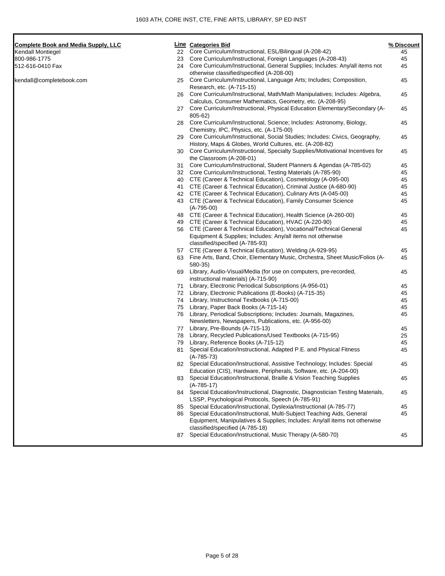| <b>Complete Book and Media Supply, LLC</b> |    | Line Categories Bid                                                              | % Discount |
|--------------------------------------------|----|----------------------------------------------------------------------------------|------------|
| Kendall Montiegel                          |    | 22 Core Curriculum/Instructional, ESL/Bilingual (A-208-42)                       | 45         |
| 800-986-1775                               | 23 | Core Curriculum/Instructional, Foreign Languages (A-208-43)                      | 45         |
| 512-616-0410 Fax                           |    | 24 Core Curriculum/Instructional, General Supplies; Includes: Any/all items not  | 45         |
|                                            |    | otherwise classified/specified (A-208-00)                                        |            |
| kendall@completebook.com                   | 25 | Core Curriculum/Instructional, Language Arts; Includes; Composition,             | 45         |
|                                            |    | Research, etc. (A-715-15)                                                        |            |
|                                            | 26 | Core Curriculum/Instructional, Math/Math Manipulatives; Includes: Algebra,       | 45         |
|                                            |    | Calculus, Consumer Mathematics, Geometry, etc. (A-208-95)                        |            |
|                                            |    | 27 Core Curriculum/Instructional, Physical Education Elementary/Secondary (A-    | 45         |
|                                            |    | 805-62)                                                                          |            |
|                                            |    | 28 Core Curriculum/Instructional, Science; Includes: Astronomy, Biology,         | 45         |
|                                            |    | Chemistry, IPC, Physics, etc. (A-175-00)                                         |            |
|                                            | 29 | Core Curriculum/Instructional, Social Studies; Includes: Civics, Geography,      | 45         |
|                                            |    | History, Maps & Globes, World Cultures, etc. (A-208-82)                          |            |
|                                            | 30 | Core Curriculum/Instructional, Specialty Supplies/Motivational Incentives for    | 45         |
|                                            |    | the Classroom (A-208-01)                                                         |            |
|                                            | 31 | Core Curriculum/Instructional, Student Planners & Agendas (A-785-02)             | 45         |
|                                            |    | 32 Core Curriculum/Instructional, Testing Materials (A-785-90)                   | 45         |
|                                            |    | 40 CTE (Career & Technical Education), Cosmetology (A-095-00)                    | 45         |
|                                            |    | 41 CTE (Career & Technical Education), Criminal Justice (A-680-90)               | 45         |
|                                            |    | 42 CTE (Career & Technical Education), Culinary Arts (A-045-00)                  | 45         |
|                                            |    | 43 CTE (Career & Technical Education), Family Consumer Science                   | 45         |
|                                            |    | $(A-795-00)$                                                                     |            |
|                                            | 48 | CTE (Career & Technical Education), Health Science (A-260-00)                    | 45         |
|                                            |    | 49 CTE (Career & Technical Education), HVAC (A-220-90)                           | 45         |
|                                            |    | 56 CTE (Career & Technical Education), Vocational/Technical General              | 45         |
|                                            |    | Equipment & Supplies; Includes: Any/all items not otherwise                      |            |
|                                            |    | classified/specified (A-785-93)                                                  |            |
|                                            |    |                                                                                  |            |
|                                            |    | 57 CTE (Career & Technical Education), Welding (A-929-95)                        | 45         |
|                                            |    | 63 Fine Arts, Band, Choir, Elementary Music, Orchestra, Sheet Music/Folios (A-   | 45         |
|                                            |    | 580-35)                                                                          |            |
|                                            | 69 | Library, Audio-Visual/Media (for use on computers, pre-recorded,                 | 45         |
|                                            |    | instructional materials) (A-715-90)                                              |            |
|                                            |    | 71 Library, Electronic Periodical Subscriptions (A-956-01)                       | 45         |
|                                            |    | 72 Library, Electronic Publications (E-Books) (A-715-35)                         | 45         |
|                                            |    | 74 Library, Instructional Textbooks (A-715-00)                                   | 45         |
|                                            | 75 | Library, Paper Back Books (A-715-14)                                             | 45         |
|                                            |    | 76 Library, Periodical Subscriptions; Includes: Journals, Magazines,             | 45         |
|                                            |    | Newsletters, Newspapers, Publications, etc. (A-956-00)                           |            |
|                                            |    | 77 Library, Pre-Bounds (A-715-13)                                                | 45         |
|                                            |    | 78 Library, Recycled Publications/Used Textbooks (A-715-95)                      | 25         |
|                                            | 79 | Library, Reference Books (A-715-12)                                              | 45         |
|                                            |    | 81 Special Education/Instructional, Adapted P.E. and Physical Fitness            | 45         |
|                                            |    | $(A-785-73)$                                                                     |            |
|                                            |    | 82 Special Education/Instructional, Assistive Technology; Includes: Special      | 45         |
|                                            |    | Education (CIS), Hardware, Peripherals, Software, etc. (A-204-00)                |            |
|                                            | 83 | Special Education/Instructional, Braille & Vision Teaching Supplies              | 45         |
|                                            |    | $(A-785-17)$                                                                     |            |
|                                            |    | 84 Special Education/Instructional, Diagnostic, Diagnostician Testing Materials, | 45         |
|                                            |    | LSSP, Psychological Protocols, Speech (A-785-91)                                 |            |
|                                            | 85 | Special Education/Instructional, Dyslexia/Instructional (A-785-77)               | 45         |
|                                            | 86 | Special Education/Instructional, Multi-Subject Teaching Aids, General            | 45         |
|                                            |    | Equipment, Manipulatives & Supplies; Includes: Any/all items not otherwise       |            |
|                                            |    | classified/specified (A-785-18)                                                  |            |
|                                            | 87 | Special Education/Instructional, Music Therapy (A-580-70)                        | 45         |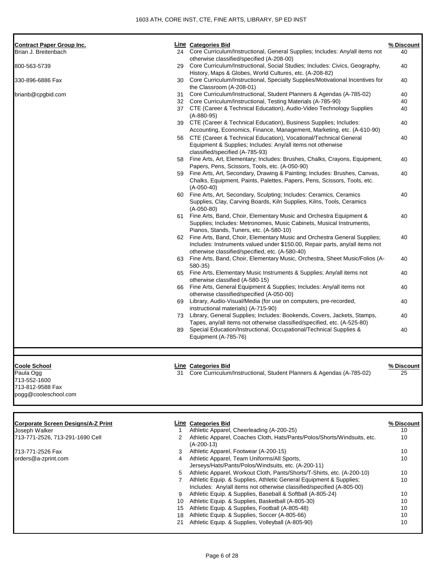| <b>Contract Paper Group Inc.</b>          |                 | <b>Line Categories Bid</b>                                                                                                                                  | % Discount       |
|-------------------------------------------|-----------------|-------------------------------------------------------------------------------------------------------------------------------------------------------------|------------------|
| Brian J. Breitenbach                      |                 | 24 Core Curriculum/Instructional, General Supplies; Includes: Any/all items not                                                                             | 40               |
|                                           |                 | otherwise classified/specified (A-208-00)                                                                                                                   |                  |
| 800-563-5739                              | 29              | Core Curriculum/Instructional, Social Studies; Includes: Civics, Geography,                                                                                 | 40               |
|                                           |                 | History, Maps & Globes, World Cultures, etc. (A-208-82)                                                                                                     |                  |
| 330-896-6886 Fax                          |                 | 30 Core Curriculum/Instructional, Specialty Supplies/Motivational Incentives for                                                                            | 40               |
| brianb@cpgbid.com                         | 31              | the Classroom (A-208-01)<br>Core Curriculum/Instructional, Student Planners & Agendas (A-785-02)                                                            | 40               |
|                                           |                 | 32 Core Curriculum/Instructional, Testing Materials (A-785-90)                                                                                              | 40               |
|                                           |                 | 37 CTE (Career & Technical Education), Audio-Video Technology Supplies                                                                                      | 40               |
|                                           |                 | $(A-880-95)$                                                                                                                                                |                  |
|                                           |                 | 39 CTE (Career & Technical Education), Business Supplies; Includes:                                                                                         | 40               |
|                                           |                 | Accounting, Economics, Finance, Management, Marketing, etc. (A-610-90)                                                                                      |                  |
|                                           |                 | 56 CTE (Career & Technical Education), Vocational/Technical General                                                                                         | 40               |
|                                           |                 | Equipment & Supplies; Includes: Any/all items not otherwise                                                                                                 |                  |
|                                           |                 | classified/specified (A-785-93)                                                                                                                             |                  |
|                                           |                 | 58 Fine Arts, Art, Elementary; Includes: Brushes, Chalks, Crayons, Equipment,                                                                               | 40               |
|                                           |                 | Papers, Pens, Scissors, Tools, etc. (A-050-90)<br>59 Fine Arts, Art, Secondary, Drawing & Painting; Includes: Brushes, Canvas,                              | 40               |
|                                           |                 | Chalks, Equipment, Paints, Palettes, Papers, Pens, Scissors, Tools, etc.                                                                                    |                  |
|                                           |                 | $(A-050-40)$                                                                                                                                                |                  |
|                                           |                 | 60 Fine Arts, Art, Secondary, Sculpting; Includes: Ceramics, Ceramics                                                                                       | 40               |
|                                           |                 | Supplies, Clay, Carving Boards, Kiln Supplies, Kilns, Tools, Ceramics                                                                                       |                  |
|                                           |                 | $(A-050-80)$                                                                                                                                                |                  |
|                                           |                 | 61 Fine Arts, Band, Choir, Elementary Music and Orchestra Equipment &                                                                                       | 40               |
|                                           |                 | Supplies; Includes: Metronomes, Music Cabinets, Musical Instruments,                                                                                        |                  |
|                                           |                 | Pianos, Stands, Tuners, etc. (A-580-10)                                                                                                                     |                  |
|                                           |                 | 62 Fine Arts, Band, Choir, Elementary Music and Orchestra General Supplies;<br>Includes: Instruments valued under \$150.00, Repair parts, any/all items not | 40               |
|                                           |                 | otherwise classified/specified, etc. (A-580-40)                                                                                                             |                  |
|                                           |                 | 63 Fine Arts, Band, Choir, Elementary Music, Orchestra, Sheet Music/Folios (A-                                                                              | 40               |
|                                           |                 | 580-35)                                                                                                                                                     |                  |
|                                           |                 | 65 Fine Arts, Elementary Music Instruments & Supplies; Any/all items not                                                                                    | 40               |
|                                           |                 | otherwise classified (A-580-15)                                                                                                                             |                  |
|                                           | 66              | Fine Arts, General Equipment & Supplies; Includes: Any/all items not                                                                                        | 40               |
|                                           |                 | otherwise classified/specified (A-050-00)                                                                                                                   |                  |
|                                           |                 | 69 Library, Audio-Visual/Media (for use on computers, pre-recorded,                                                                                         | 40               |
|                                           |                 | instructional materials) (A-715-90)                                                                                                                         |                  |
|                                           |                 | 73 Library, General Supplies; Includes: Bookends, Covers, Jackets, Stamps,<br>Tapes, any/all items not otherwise classified/specified, etc. (A-525-80)      | 40               |
|                                           | 89              | Special Education/Instructional, Occupational/Technical Supplies &                                                                                          | 40               |
|                                           |                 | Equipment (A-785-76)                                                                                                                                        |                  |
|                                           |                 |                                                                                                                                                             |                  |
| <b>Coole School</b>                       |                 | Line Categories Bid                                                                                                                                         | % Discount       |
| Paula Ogg                                 |                 | 31 Core Curriculum/Instructional, Student Planners & Agendas (A-785-02)                                                                                     | 25               |
| 713-552-1600                              |                 |                                                                                                                                                             |                  |
| 713-812-9588 Fax                          |                 |                                                                                                                                                             |                  |
| pogg@cooleschool.com                      |                 |                                                                                                                                                             |                  |
| <b>Corporate Screen Designs/A-Z Print</b> |                 | <b>Line Categories Bid</b>                                                                                                                                  |                  |
| Joseph Walker                             | $\mathbf{1}$    | Athletic Apparel, Cheerleading (A-200-25)                                                                                                                   | % Discount<br>10 |
| 713-771-2526, 713-291-1690 Cell           | 2               | Athletic Apparel, Coaches Cloth, Hats/Pants/Polos/Shorts/Windsuits, etc.                                                                                    | 10               |
|                                           |                 | $(A-200-13)$                                                                                                                                                |                  |
| 713-771-2526 Fax                          | 3               | Athletic Apparel, Footwear (A-200-15)                                                                                                                       | 10               |
| orders@a-zprint.com                       | 4               | Athletic Apparel, Team Uniforms/All Sports,                                                                                                                 | 10               |
|                                           |                 | Jerseys/Hats/Pants/Polos/Windsuits, etc. (A-200-11)                                                                                                         |                  |
|                                           | 5               | Athletic Apparel, Workout Cloth, Pants/Shorts/T-Shirts, etc. (A-200-10)                                                                                     | 10               |
|                                           | $7^{\circ}$     | Athletic Equip. & Supplies, Athletic General Equipment & Supplies;                                                                                          | 10               |
|                                           |                 | Includes: Any/all items not otherwise classified/specified (A-805-00)                                                                                       |                  |
|                                           | 9               | Athletic Equip. & Supplies, Baseball & Softball (A-805-24)                                                                                                  | 10               |
|                                           | 10 <sup>1</sup> | Athletic Equip. & Supplies, Basketball (A-805-30)                                                                                                           | 10               |

15 Athletic Equip. & Supplies, Football (A-805-48) 10 18 Athletic Equip. & Supplies, Soccer (A-805-66) 10 21 Athletic Equip. & Supplies, Volleyball (A-805-90) 10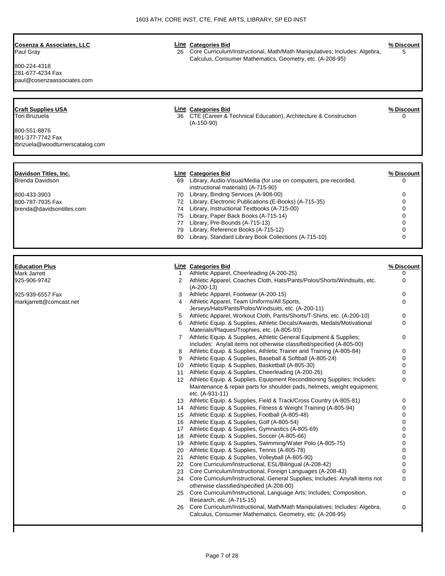| Cosenza & Associates, LLC<br>Paul Gray<br>800-224-4318<br>281-677-4234 Fax<br>paul@cosenzaassociates.com                  | 26           | <b>Line Categories Bid</b><br>Core Curriculum/Instructional, Math/Math Manipulatives; Includes: Algebra,<br>Calculus, Consumer Mathematics, Geometry, etc. (A-208-95) | % Discount<br>5        |
|---------------------------------------------------------------------------------------------------------------------------|--------------|-----------------------------------------------------------------------------------------------------------------------------------------------------------------------|------------------------|
| <b>Craft Supplies USA</b><br><b>Tori Bruzuela</b><br>800-551-8876<br>801-377-7742 Fax<br>tbrizuela@woodturnerscatalog.com |              | <b>Line Categories Bid</b><br>36 CTE (Career & Technical Education), Architecture & Construction<br>$(A-150-90)$                                                      | % Discount<br>0        |
| Davidson Titles, Inc.<br><b>Brenda Davidson</b>                                                                           |              | <b>Line Categories Bid</b><br>69 Library, Audio-Visual/Media (for use on computers, pre-recorded,<br>instructional materials) (A-715-90)                              | % Discount<br>$\Omega$ |
| 800-433-3903                                                                                                              | 70           | Library, Binding Services (A-908-00)                                                                                                                                  | 0                      |
| 800-787-7935 Fax                                                                                                          | 72           | Library, Electronic Publications (E-Books) (A-715-35)                                                                                                                 | $\Omega$               |
| brenda@davidsontitles.com                                                                                                 | 74           | Library, Instructional Textbooks (A-715-00)                                                                                                                           | $\Omega$               |
|                                                                                                                           |              | 75 Library, Paper Back Books (A-715-14)                                                                                                                               | U                      |
|                                                                                                                           | 77           | Library, Pre-Bounds (A-715-13)                                                                                                                                        | 0                      |
|                                                                                                                           | 79<br>80     | Library, Reference Books (A-715-12)<br>Library, Standard Library Book Collections (A-715-10)                                                                          | O<br>$\Omega$          |
| <b>Education Plus</b>                                                                                                     |              | <b>Line Categories Bid</b>                                                                                                                                            | % Discount             |
| <b>Mark Jarrett</b>                                                                                                       | $\mathbf{1}$ | Athletic Apparel, Cheerleading (A-200-25)                                                                                                                             | $\Omega$               |
| 925-906-9742                                                                                                              | 2            | Athletic Apparel, Coaches Cloth, Hats/Pants/Polos/Shorts/Windsuits, etc.<br>$(A-200-13)$                                                                              | $\Omega$               |
| 925-939-6557 Fax                                                                                                          |              | 3 Athletic Apparel, Footwear (A-200-15)                                                                                                                               | $\Omega$               |
| markjarrett@comcast.net                                                                                                   | 4            | Athletic Apparel, Team Uniforms/All Sports,<br>Jerseys/Hats/Pants/Polos/Windsuits, etc. (A-200-11)                                                                    | 0                      |
|                                                                                                                           |              | Athletic Apparel, Workout Cloth, Pants/Shorts/T-Shirts, etc. (A-200-10)                                                                                               | 0                      |
|                                                                                                                           | 6            | Athletic Equip. & Supplies, Athletic Decals/Awards, Medals/Motivational                                                                                               | $\Omega$               |

etc. (A-931-11)

Materials/Plaques/Trophies, etc. (A-805-93)

18 Athletic Equip. & Supplies, Soccer (A-805-66)

21 Athletic Equip. & Supplies, Volleyball (A-805-90)

otherwise classified/specified (A-208-00)

7 Athletic Equip. & Supplies, Athletic General Equipment & Supplies; Includes: Any/all items not otherwise classified/specified (A-805-00)

12 Athletic Equip. & Supplies, Equipment Reconditioning Supplies; Includes: Maintenance & repair parts for shoulder pads, helmets, weight equipment,

14 Athletic Equip. & Supplies, Fitness & Weight Training (A-805-94) 0

25 Core Curriculum/Instructional, Language Arts; Includes; Composition,

26 Core Curriculum/Instructional, Math/Math Manipulatives; Includes: Algebra, Calculus, Consumer Mathematics, Geometry, etc. (A-208-95)

8 Athletic Equip. & Supplies, Athletic Trainer and Training (A-805-84) 0 9 Athletic Equip. & Supplies, Baseball & Softball (A-805-24) 0 10 Athletic Equip. & Supplies, Basketball (A-805-30) 0 11 Athletic Equip. & Supplies, Cheerleading (A-200-26) 0

13 Athletic Equip. & Supplies, Field & Track/Cross Country (A-805-81) 0<br>14 Athletic Equip. & Supplies. Fitness & Weight Training (A-805-94) 0

15 Athletic Equip. & Supplies, Football (A-805-48) 0 16 Athletic Equip. & Supplies, Golf (A-805-54) 0 17 Athletic Equip. & Supplies, Gymnastics (A-805-69) 0

19 Athletic Equip. & Supplies, Swimming/Water Polo (A-805-75) 0 20 Athletic Equip. & Supplies, Tennis (A-805-78) 0

22 Core Curriculum/Instructional, ESL/Bilingual (A-208-42) 0 23 Core Curriculum/Instructional, Foreign Languages (A-208-43) 0 24 Core Curriculum/Instructional, General Supplies; Includes: Any/all items not

0

0

0

0

0

Research, etc. (A-715-15)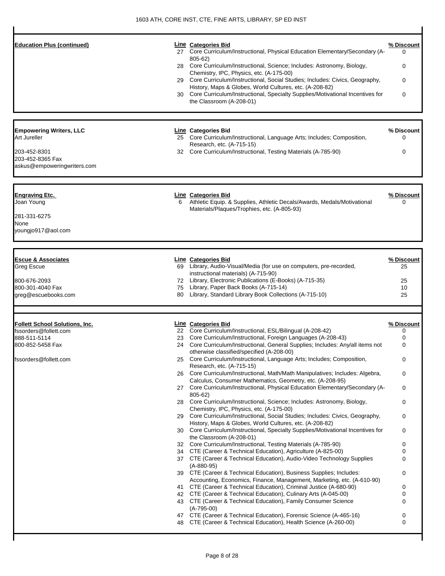| <b>Education Plus (continued)</b>                                                                                 | 30       | Line Categories Bid<br>27 Core Curriculum/Instructional, Physical Education Elementary/Secondary (A-<br>805-62)<br>28 Core Curriculum/Instructional, Science; Includes: Astronomy, Biology,<br>Chemistry, IPC, Physics, etc. (A-175-00)<br>29 Core Curriculum/Instructional, Social Studies; Includes: Civics, Geography,<br>History, Maps & Globes, World Cultures, etc. (A-208-82)<br>Core Curriculum/Instructional, Specialty Supplies/Motivational Incentives for<br>the Classroom (A-208-01) | % Discount<br>0<br>0<br>0<br>0 |
|-------------------------------------------------------------------------------------------------------------------|----------|---------------------------------------------------------------------------------------------------------------------------------------------------------------------------------------------------------------------------------------------------------------------------------------------------------------------------------------------------------------------------------------------------------------------------------------------------------------------------------------------------|--------------------------------|
| <b>Empowering Writers, LLC</b><br>Art Jureller<br>203-452-8301<br>203-452-8365 Fax<br>askus@empoweringwriters.com |          | Line Categories Bid<br>25 Core Curriculum/Instructional, Language Arts; Includes; Composition,<br>Research, etc. (A-715-15)<br>32 Core Curriculum/Instructional, Testing Materials (A-785-90)                                                                                                                                                                                                                                                                                                     | % Discount<br>0<br>0           |
| <b>Engraving Etc.</b><br>Joan Young<br>281-331-6275<br>None<br>youngjo917@aol.com                                 | 6        | <b>Line Categories Bid</b><br>Athletic Equip. & Supplies, Athletic Decals/Awards, Medals/Motivational<br>Materials/Plaques/Trophies, etc. (A-805-93)                                                                                                                                                                                                                                                                                                                                              | % Discount<br>0                |
|                                                                                                                   |          |                                                                                                                                                                                                                                                                                                                                                                                                                                                                                                   |                                |
| <b>Escue &amp; Associates</b><br>Greg Escue                                                                       |          | <b>Line Categories Bid</b><br>69 Library, Audio-Visual/Media (for use on computers, pre-recorded,                                                                                                                                                                                                                                                                                                                                                                                                 | % Discount<br>25               |
|                                                                                                                   |          | instructional materials) (A-715-90)                                                                                                                                                                                                                                                                                                                                                                                                                                                               |                                |
| 800-676-2093                                                                                                      |          | 72 Library, Electronic Publications (E-Books) (A-715-35)                                                                                                                                                                                                                                                                                                                                                                                                                                          | 25                             |
| 800-301-4040 Fax<br>greg@escuebooks.com                                                                           | 75<br>80 | Library, Paper Back Books (A-715-14)<br>Library, Standard Library Book Collections (A-715-10)                                                                                                                                                                                                                                                                                                                                                                                                     | 10<br>25                       |
|                                                                                                                   |          |                                                                                                                                                                                                                                                                                                                                                                                                                                                                                                   |                                |
| <b>Follett School Solutions, Inc.</b>                                                                             |          | Line Categories Bid                                                                                                                                                                                                                                                                                                                                                                                                                                                                               | % Discount                     |
| fssorders@follett.com                                                                                             |          | 22 Core Curriculum/Instructional, ESL/Bilingual (A-208-42)                                                                                                                                                                                                                                                                                                                                                                                                                                        | 0                              |
| 888-511-5114                                                                                                      | 23       | Core Curriculum/Instructional, Foreign Languages (A-208-43)<br>24 Core Curriculum/Instructional, General Supplies; Includes: Any/all items not                                                                                                                                                                                                                                                                                                                                                    | 0                              |
| 800-852-5458 Fax<br>fssorders@follett.com                                                                         | 25       | otherwise classified/specified (A-208-00)<br>Core Curriculum/Instructional, Language Arts; Includes; Composition,                                                                                                                                                                                                                                                                                                                                                                                 | 0<br>0                         |
|                                                                                                                   | 26       | Research, etc. (A-715-15)<br>Core Curriculum/Instructional, Math/Math Manipulatives; Includes: Algebra,                                                                                                                                                                                                                                                                                                                                                                                           | 0                              |
|                                                                                                                   |          | Calculus, Consumer Mathematics, Geometry, etc. (A-208-95)                                                                                                                                                                                                                                                                                                                                                                                                                                         |                                |
|                                                                                                                   |          | 27 Core Curriculum/Instructional, Physical Education Elementary/Secondary (A-<br>805-62)<br>28 Core Curriculum/Instructional, Science; Includes: Astronomy, Biology,                                                                                                                                                                                                                                                                                                                              | 0<br>0                         |
|                                                                                                                   |          | Chemistry, IPC, Physics, etc. (A-175-00)                                                                                                                                                                                                                                                                                                                                                                                                                                                          |                                |
|                                                                                                                   |          | 29 Core Curriculum/Instructional, Social Studies; Includes: Civics, Geography,<br>History, Maps & Globes, World Cultures, etc. (A-208-82)                                                                                                                                                                                                                                                                                                                                                         | 0                              |
|                                                                                                                   | 30       | Core Curriculum/Instructional, Specialty Supplies/Motivational Incentives for<br>the Classroom (A-208-01)                                                                                                                                                                                                                                                                                                                                                                                         | 0                              |
|                                                                                                                   |          | 32 Core Curriculum/Instructional, Testing Materials (A-785-90)                                                                                                                                                                                                                                                                                                                                                                                                                                    | 0                              |
|                                                                                                                   |          | 34 CTE (Career & Technical Education), Agriculture (A-825-00)<br>37 CTE (Career & Technical Education), Audio-Video Technology Supplies<br>$(A-880-95)$                                                                                                                                                                                                                                                                                                                                           | 0<br>0                         |
|                                                                                                                   |          | 39 CTE (Career & Technical Education), Business Supplies; Includes:<br>Accounting, Economics, Finance, Management, Marketing, etc. (A-610-90)                                                                                                                                                                                                                                                                                                                                                     | 0                              |
|                                                                                                                   | 41       | CTE (Career & Technical Education), Criminal Justice (A-680-90)                                                                                                                                                                                                                                                                                                                                                                                                                                   | 0                              |
|                                                                                                                   |          | 42 CTE (Career & Technical Education), Culinary Arts (A-045-00)<br>43 CTE (Career & Technical Education), Family Consumer Science<br>$(A-795-00)$                                                                                                                                                                                                                                                                                                                                                 | 0<br>0                         |
|                                                                                                                   | 48       | 47 CTE (Career & Technical Education), Forensic Science (A-465-16)<br>CTE (Career & Technical Education), Health Science (A-260-00)                                                                                                                                                                                                                                                                                                                                                               | 0<br>0                         |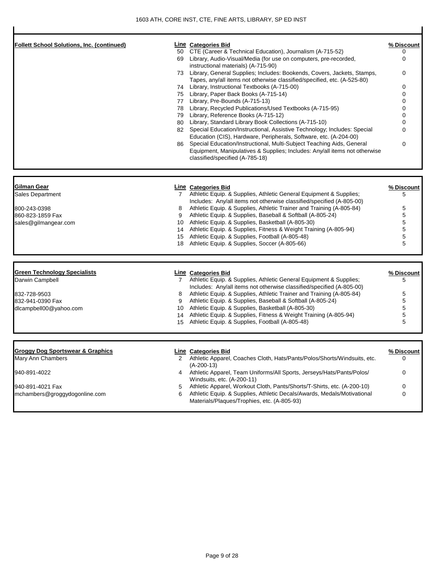| <b>Follett School Solutions, Inc. (continued)</b><br>50                                                                                              | Line Categories Bid<br>CTE (Career & Technical Education), Journalism (A-715-52)<br>69 Library, Audio-Visual/Media (for use on computers, pre-recorded,<br>instructional materials) (A-715-90)<br>73 Library, General Supplies; Includes: Bookends, Covers, Jackets, Stamps,<br>Tapes, any/all items not otherwise classified/specified, etc. (A-525-80)<br>74 Library, Instructional Textbooks (A-715-00)<br>75 Library, Paper Back Books (A-715-14)<br>77 Library, Pre-Bounds (A-715-13)<br>78 Library, Recycled Publications/Used Textbooks (A-715-95)<br>79 Library, Reference Books (A-715-12)<br>80 Library, Standard Library Book Collections (A-715-10)<br>82 Special Education/Instructional, Assistive Technology; Includes: Special<br>Education (CIS), Hardware, Peripherals, Software, etc. (A-204-00)<br>Special Education/Instructional, Multi-Subject Teaching Aids, General<br>86  <br>Equipment, Manipulatives & Supplies; Includes: Any/all items not otherwise<br>classified/specified (A-785-18) | % Discount<br>0<br>0<br>0<br>0<br>0<br>0<br>0<br>0<br>$\Omega$<br>0<br>0 |
|------------------------------------------------------------------------------------------------------------------------------------------------------|-----------------------------------------------------------------------------------------------------------------------------------------------------------------------------------------------------------------------------------------------------------------------------------------------------------------------------------------------------------------------------------------------------------------------------------------------------------------------------------------------------------------------------------------------------------------------------------------------------------------------------------------------------------------------------------------------------------------------------------------------------------------------------------------------------------------------------------------------------------------------------------------------------------------------------------------------------------------------------------------------------------------------|--------------------------------------------------------------------------|
| <b>Gilman Gear</b><br>Sales Department<br>800-243-0398<br>8<br>860-823-1859 Fax<br>9<br>sales@gilmangear.com<br>15<br>18                             | <b>Line Categories Bid</b><br>7 Athletic Equip. & Supplies, Athletic General Equipment & Supplies;<br>Includes: Any/all items not otherwise classified/specified (A-805-00)<br>Athletic Equip. & Supplies, Athletic Trainer and Training (A-805-84)<br>Athletic Equip. & Supplies, Baseball & Softball (A-805-24)<br>10 Athletic Equip. & Supplies, Basketball (A-805-30)<br>14 Athletic Equip. & Supplies, Fitness & Weight Training (A-805-94)<br>Athletic Equip. & Supplies, Football (A-805-48)<br>Athletic Equip. & Supplies, Soccer (A-805-66)                                                                                                                                                                                                                                                                                                                                                                                                                                                                  | % Discount<br>5<br>5<br>5<br>5<br>5<br>5<br>5                            |
| <b>Green Technology Specialists</b><br>Darwin Campbell<br>832-728-9503<br>8<br>832-941-0390 Fax<br>9<br>dlcampbell00@yahoo.com<br>15                 | <b>Line Categories Bid</b><br>7 Athletic Equip. & Supplies, Athletic General Equipment & Supplies;<br>Includes: Any/all items not otherwise classified/specified (A-805-00)<br>Athletic Equip. & Supplies, Athletic Trainer and Training (A-805-84)<br>Athletic Equip. & Supplies, Baseball & Softball (A-805-24)<br>10 Athletic Equip. & Supplies, Basketball (A-805-30)<br>Athletic Equip. & Supplies, Fitness & Weight Training (A-805-94)<br>14<br>Athletic Equip. & Supplies, Football (A-805-48)                                                                                                                                                                                                                                                                                                                                                                                                                                                                                                                | % Discount<br>5<br>5<br>5<br>5<br>5<br>5                                 |
| <b>Groggy Dog Sportswear &amp; Graphics</b><br>Mary Ann Chambers<br>940-891-4022<br>4<br>940-891-4021 Fax<br>5<br>mchambers@groggydogonline.com<br>6 | Line Categories Bid<br>2 Athletic Apparel, Coaches Cloth, Hats/Pants/Polos/Shorts/Windsuits, etc.<br>$(A-200-13)$<br>Athletic Apparel, Team Uniforms/All Sports, Jerseys/Hats/Pants/Polos/<br>Windsuits, etc. (A-200-11)<br>Athletic Apparel, Workout Cloth, Pants/Shorts/T-Shirts, etc. (A-200-10)<br>Athletic Equip. & Supplies, Athletic Decals/Awards, Medals/Motivational<br>Materials/Plaques/Trophies, etc. (A-805-93)                                                                                                                                                                                                                                                                                                                                                                                                                                                                                                                                                                                         | % Discount<br>0<br>0<br>0<br>0                                           |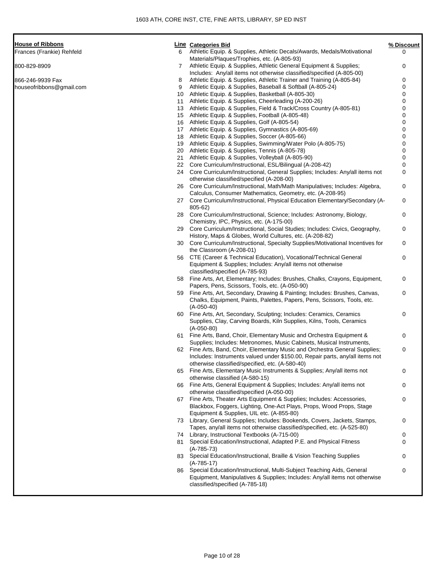| <b>House of Ribbons</b>   |  |
|---------------------------|--|
| Frances (Frankie) Rehfeld |  |

| <b>House of Ribbons</b>   |    | <b>Line</b> Categories Bid                                                                                                                                  | % Discount |
|---------------------------|----|-------------------------------------------------------------------------------------------------------------------------------------------------------------|------------|
| Frances (Frankie) Rehfeld | 6  | Athletic Equip. & Supplies, Athletic Decals/Awards, Medals/Motivational<br>Materials/Plaques/Trophies, etc. (A-805-93)                                      | 0          |
| 800-829-8909              | 7  | Athletic Equip. & Supplies, Athletic General Equipment & Supplies;<br>Includes: Any/all items not otherwise classified/specified (A-805-00)                 | 0          |
| 866-246-9939 Fax          | 8  | Athletic Equip. & Supplies, Athletic Trainer and Training (A-805-84)                                                                                        | 0          |
| houseofribbons@gmail.com  | 9  | Athletic Equip. & Supplies, Baseball & Softball (A-805-24)                                                                                                  | 0          |
|                           | 10 | Athletic Equip. & Supplies, Basketball (A-805-30)                                                                                                           | 0          |
|                           | 11 | Athletic Equip. & Supplies, Cheerleading (A-200-26)                                                                                                         | 0          |
|                           | 13 | Athletic Equip. & Supplies, Field & Track/Cross Country (A-805-81)                                                                                          | 0          |
|                           | 15 | Athletic Equip. & Supplies, Football (A-805-48)                                                                                                             | 0          |
|                           | 16 | Athletic Equip. & Supplies, Golf (A-805-54)                                                                                                                 | 0          |
|                           | 17 | Athletic Equip. & Supplies, Gymnastics (A-805-69)                                                                                                           | 0          |
|                           | 18 | Athletic Equip. & Supplies, Soccer (A-805-66)                                                                                                               | 0          |
|                           | 19 | Athletic Equip. & Supplies, Swimming/Water Polo (A-805-75)                                                                                                  | 0          |
|                           | 20 | Athletic Equip. & Supplies, Tennis (A-805-78)                                                                                                               | 0          |
|                           | 21 | Athletic Equip. & Supplies, Volleyball (A-805-90)                                                                                                           | 0          |
|                           | 22 | Core Curriculum/Instructional, ESL/Bilingual (A-208-42)                                                                                                     | 0          |
|                           |    |                                                                                                                                                             |            |
|                           | 24 | Core Curriculum/Instructional, General Supplies; Includes: Any/all items not<br>otherwise classified/specified (A-208-00)                                   | 0          |
|                           | 26 | Core Curriculum/Instructional, Math/Math Manipulatives; Includes: Algebra,<br>Calculus, Consumer Mathematics, Geometry, etc. (A-208-95)                     | 0          |
|                           |    | 27 Core Curriculum/Instructional, Physical Education Elementary/Secondary (A-                                                                               | 0          |
|                           | 28 | $805 - 62$<br>Core Curriculum/Instructional, Science; Includes: Astronomy, Biology,                                                                         | 0          |
|                           |    | Chemistry, IPC, Physics, etc. (A-175-00)                                                                                                                    |            |
|                           | 29 | Core Curriculum/Instructional, Social Studies; Includes: Civics, Geography,<br>History, Maps & Globes, World Cultures, etc. (A-208-82)                      | 0          |
|                           | 30 | Core Curriculum/Instructional, Specialty Supplies/Motivational Incentives for<br>the Classroom (A-208-01)                                                   | 0          |
|                           | 56 | CTE (Career & Technical Education), Vocational/Technical General                                                                                            | 0          |
|                           |    | Equipment & Supplies; Includes: Any/all items not otherwise<br>classified/specified (A-785-93)                                                              |            |
|                           |    | 58 Fine Arts, Art, Elementary; Includes: Brushes, Chalks, Crayons, Equipment,                                                                               | 0          |
|                           | 59 | Papers, Pens, Scissors, Tools, etc. (A-050-90)<br>Fine Arts, Art, Secondary, Drawing & Painting; Includes: Brushes, Canvas,                                 | 0          |
|                           |    | Chalks, Equipment, Paints, Palettes, Papers, Pens, Scissors, Tools, etc.<br>$(A-050-40)$                                                                    |            |
|                           |    | 60 Fine Arts, Art, Secondary, Sculpting; Includes: Ceramics, Ceramics                                                                                       | 0          |
|                           |    | Supplies, Clay, Carving Boards, Kiln Supplies, Kilns, Tools, Ceramics<br>$(A-050-80)$                                                                       |            |
|                           |    | 61 Fine Arts, Band, Choir, Elementary Music and Orchestra Equipment &                                                                                       | 0          |
|                           |    | Supplies; Includes: Metronomes, Music Cabinets, Musical Instruments,                                                                                        |            |
|                           |    | 62 Fine Arts, Band, Choir, Elementary Music and Orchestra General Supplies;<br>Includes: Instruments valued under \$150.00, Repair parts, any/all items not | 0          |
|                           | 65 | otherwise classified/specified, etc. (A-580-40)<br>Fine Arts, Elementary Music Instruments & Supplies; Any/all items not<br>otherwise classified (A-580-15) | 0          |
|                           | 66 | Fine Arts, General Equipment & Supplies; Includes: Any/all items not<br>otherwise classified/specified (A-050-00)                                           | 0          |
|                           |    | 67 Fine Arts, Theater Arts Equipment & Supplies; Includes: Accessories,                                                                                     | 0          |
|                           |    | Blackbox, Foggers, Lighting, One-Act Plays, Props, Wood Props, Stage<br>Equipment & Supplies, UIL etc. (A-855-80)                                           |            |
|                           |    | 73 Library, General Supplies; Includes: Bookends, Covers, Jackets, Stamps,<br>Tapes, any/all items not otherwise classified/specified, etc. (A-525-80)      | 0          |
|                           |    | 74 Library, Instructional Textbooks (A-715-00)                                                                                                              | 0          |
|                           |    | 81 Special Education/Instructional, Adapted P.E. and Physical Fitness<br>$(A-785-73)$                                                                       | 0          |
|                           |    | 83 Special Education/Instructional, Braille & Vision Teaching Supplies<br>$(A-785-17)$                                                                      | 0          |
|                           |    | 86 Special Education/Instructional, Multi-Subject Teaching Aids, General<br>Equipment, Manipulatives & Supplies; Includes: Any/all items not otherwise      | 0          |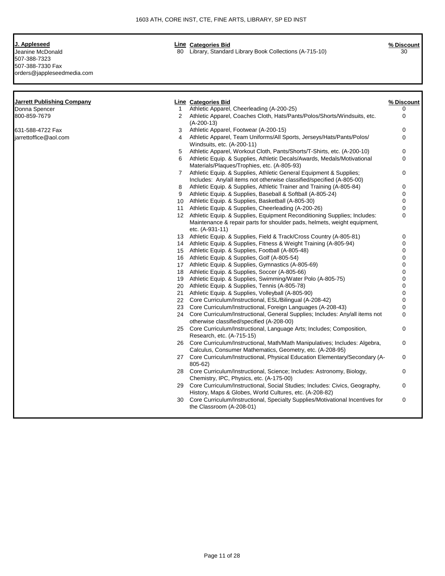Page 11 of 28

| J. Appleseed | <b>Categories Bid</b><br>∟ine | % Discount |
|--------------|-------------------------------|------------|
|              |                               |            |

Jeanine McDonald 80 Library, Standard Library Book Collections (A-715-10) 30 507-388-7323 507-388-7330 Fax orders@jappleseedmedia.com

| Donna Spencer<br>800-859-7679 |              |                                                                                                                                               | % Discount  |
|-------------------------------|--------------|-----------------------------------------------------------------------------------------------------------------------------------------------|-------------|
|                               | $\mathbf{1}$ | Athletic Apparel, Cheerleading (A-200-25)                                                                                                     | 0           |
|                               | 2            | Athletic Apparel, Coaches Cloth, Hats/Pants/Polos/Shorts/Windsuits, etc.                                                                      | $\Omega$    |
|                               |              | $(A-200-13)$                                                                                                                                  |             |
| 631-588-4722 Fax              | 3            | Athletic Apparel, Footwear (A-200-15)                                                                                                         | 0           |
| iarrettoffice@aol.com         | 4            | Athletic Apparel, Team Uniforms/All Sports, Jerseys/Hats/Pants/Polos/                                                                         | $\Omega$    |
|                               |              | Windsuits, etc. (A-200-11)                                                                                                                    |             |
|                               | 5            | Athletic Apparel, Workout Cloth, Pants/Shorts/T-Shirts, etc. (A-200-10)                                                                       | 0           |
|                               | 6            | Athletic Equip. & Supplies, Athletic Decals/Awards, Medals/Motivational                                                                       | $\Omega$    |
|                               |              | Materials/Plaques/Trophies, etc. (A-805-93)                                                                                                   |             |
|                               | $7^{\circ}$  | Athletic Equip. & Supplies, Athletic General Equipment & Supplies;                                                                            | 0           |
|                               | 8            | Includes: Any/all items not otherwise classified/specified (A-805-00)<br>Athletic Equip. & Supplies, Athletic Trainer and Training (A-805-84) | 0           |
|                               | 9            | Athletic Equip. & Supplies, Baseball & Softball (A-805-24)                                                                                    | $\Omega$    |
|                               |              | 10 Athletic Equip. & Supplies, Basketball (A-805-30)                                                                                          | 0           |
|                               |              | 11 Athletic Equip. & Supplies, Cheerleading (A-200-26)                                                                                        | $\Omega$    |
|                               |              | 12 Athletic Equip. & Supplies, Equipment Reconditioning Supplies; Includes:                                                                   | 0           |
|                               |              | Maintenance & repair parts for shoulder pads, helmets, weight equipment,                                                                      |             |
|                               |              | etc. (A-931-11)                                                                                                                               |             |
|                               |              | 13 Athletic Equip. & Supplies, Field & Track/Cross Country (A-805-81)                                                                         | 0           |
|                               |              | 14 Athletic Equip. & Supplies, Fitness & Weight Training (A-805-94)                                                                           | $\Omega$    |
|                               |              | 15 Athletic Equip. & Supplies, Football (A-805-48)                                                                                            | 0           |
|                               |              | 16 Athletic Equip. & Supplies, Golf (A-805-54)                                                                                                | $\Omega$    |
|                               |              | 17 Athletic Equip. & Supplies, Gymnastics (A-805-69)                                                                                          | 0           |
|                               |              | 18 Athletic Equip. & Supplies, Soccer (A-805-66)                                                                                              | 0           |
|                               |              | 19 Athletic Equip. & Supplies, Swimming/Water Polo (A-805-75)                                                                                 | $\Omega$    |
|                               |              | 20 Athletic Equip. & Supplies, Tennis (A-805-78)                                                                                              | $\Omega$    |
|                               |              | 21 Athletic Equip. & Supplies, Volleyball (A-805-90)                                                                                          | $\Omega$    |
|                               |              | 22 Core Curriculum/Instructional, ESL/Bilingual (A-208-42)                                                                                    | 0           |
|                               |              | 23 Core Curriculum/Instructional, Foreign Languages (A-208-43)                                                                                | 0           |
|                               |              | 24 Core Curriculum/Instructional, General Supplies; Includes: Any/all items not                                                               | $\mathbf 0$ |
|                               |              | otherwise classified/specified (A-208-00)                                                                                                     |             |
|                               |              | 25 Core Curriculum/Instructional, Language Arts; Includes; Composition,                                                                       | $\Omega$    |
|                               |              | Research, etc. (A-715-15)                                                                                                                     |             |
|                               |              | 26 Core Curriculum/Instructional, Math/Math Manipulatives; Includes: Algebra,                                                                 | 0           |
|                               |              | Calculus, Consumer Mathematics, Geometry, etc. (A-208-95)                                                                                     |             |
|                               |              | 27 Core Curriculum/Instructional, Physical Education Elementary/Secondary (A-                                                                 | 0           |
|                               |              | 805-62)                                                                                                                                       |             |
|                               |              | 28 Core Curriculum/Instructional, Science; Includes: Astronomy, Biology,                                                                      | 0           |
|                               |              | Chemistry, IPC, Physics, etc. (A-175-00)                                                                                                      |             |
|                               |              | 29 Core Curriculum/Instructional, Social Studies; Includes: Civics, Geography,                                                                | 0           |
|                               |              | History, Maps & Globes, World Cultures, etc. (A-208-82)                                                                                       |             |
|                               | 30           | Core Curriculum/Instructional, Specialty Supplies/Motivational Incentives for                                                                 | 0           |
|                               |              | the Classroom (A-208-01)                                                                                                                      |             |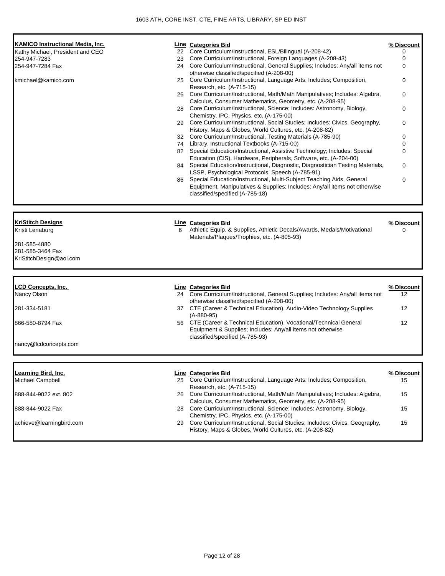| <b>KAMICO Instructional Media, Inc.</b>                                        |   | Line Categories Bid                                                                                                                                                                       |                   |
|--------------------------------------------------------------------------------|---|-------------------------------------------------------------------------------------------------------------------------------------------------------------------------------------------|-------------------|
| Kathy Michael, President and CEO                                               |   | 22 Core Curriculum/Instructional, ESL/Bilingual (A-208-42)                                                                                                                                | % Discount<br>0   |
| 254-947-7283                                                                   |   | 23 Core Curriculum/Instructional, Foreign Languages (A-208-43)                                                                                                                            | 0                 |
| 254-947-7284 Fax                                                               |   | 24 Core Curriculum/Instructional, General Supplies; Includes: Any/all items not<br>otherwise classified/specified (A-208-00)                                                              | 0                 |
| kmichael@kamico.com                                                            |   | 25 Core Curriculum/Instructional, Language Arts; Includes; Composition,<br>Research, etc. (A-715-15)                                                                                      | 0                 |
|                                                                                |   | 26 Core Curriculum/Instructional, Math/Math Manipulatives; Includes: Algebra,<br>Calculus, Consumer Mathematics, Geometry, etc. (A-208-95)                                                | 0                 |
|                                                                                |   | 28 Core Curriculum/Instructional, Science; Includes: Astronomy, Biology,<br>Chemistry, IPC, Physics, etc. (A-175-00)                                                                      | 0                 |
|                                                                                |   | 29 Core Curriculum/Instructional, Social Studies; Includes: Civics, Geography,<br>History, Maps & Globes, World Cultures, etc. (A-208-82)                                                 | 0                 |
|                                                                                |   | 32 Core Curriculum/Instructional, Testing Materials (A-785-90)                                                                                                                            | 0                 |
|                                                                                |   | 74 Library, Instructional Textbooks (A-715-00)                                                                                                                                            | 0                 |
|                                                                                |   | 82 Special Education/Instructional, Assistive Technology; Includes: Special<br>Education (CIS), Hardware, Peripherals, Software, etc. (A-204-00)                                          | 0                 |
|                                                                                |   | 84 Special Education/Instructional, Diagnostic, Diagnostician Testing Materials,<br>LSSP, Psychological Protocols, Speech (A-785-91)                                                      | 0                 |
|                                                                                |   | 86 Special Education/Instructional, Multi-Subject Teaching Aids, General<br>Equipment, Manipulatives & Supplies; Includes: Any/all items not otherwise<br>classified/specified (A-785-18) | 0                 |
| Kristi Lenaburg<br>281-585-4880<br>281-585-3464 Fax<br>KriStitchDesign@aol.com | 6 | Athletic Equip. & Supplies, Athletic Decals/Awards, Medals/Motivational<br>Materials/Plaques/Trophies, etc. (A-805-93)                                                                    | 0                 |
| <b>LCD Concepts, Inc.</b>                                                      |   | <b>Line Categories Bid</b>                                                                                                                                                                | % Discount        |
| Nancy Olson                                                                    |   | 24 Core Curriculum/Instructional, General Supplies; Includes: Any/all items not<br>otherwise classified/specified (A-208-00)                                                              | 12                |
| 281-334-5181                                                                   |   | 37 CTE (Career & Technical Education), Audio-Video Technology Supplies<br>$(A-880-95)$                                                                                                    | 12                |
| 866-580-8794 Fax                                                               |   | 56 CTE (Career & Technical Education), Vocational/Technical General<br>Equipment & Supplies; Includes: Any/all items not otherwise<br>classified/specified (A-785-93)                     | $12 \overline{ }$ |
| nancy@lcdconcepts.com                                                          |   |                                                                                                                                                                                           |                   |
| <u>Learning Bird, Inc.</u>                                                     |   | <b>Line Categories Bid</b>                                                                                                                                                                | % Discount        |
| Michael Campbell                                                               |   | 25 Core Curriculum/Instructional, Language Arts; Includes; Composition,<br>Research, etc. (A-715-15)                                                                                      | 15                |
| 888-844-9022 ext. 802                                                          |   | 26 Core Curriculum/Instructional, Math/Math Manipulatives; Includes: Algebra,<br>Calculus, Consumer Mathematics, Geometry, etc. (A-208-95)                                                | 15                |
| 888-844-9022 Fax                                                               |   | 28 Core Curriculum/Instructional, Science; Includes: Astronomy, Biology,<br>Chemistry, IPC, Physics, etc. (A-175-00)                                                                      | 15                |
| achieve@learningbird.com                                                       |   | 29 Core Curriculum/Instructional, Social Studies; Includes: Civics, Geography,<br>History, Maps & Globes, World Cultures, etc. (A-208-82)                                                 | 15                |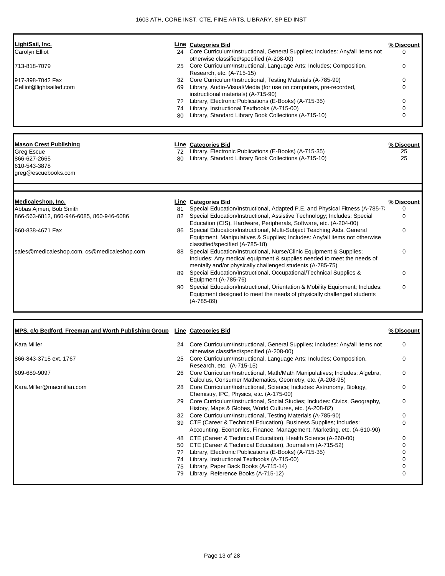| LightSail, Inc.                                                          |           | <b>Line Categories Bid</b>                                                                                                                       | % Discount        |
|--------------------------------------------------------------------------|-----------|--------------------------------------------------------------------------------------------------------------------------------------------------|-------------------|
| Carolyn Elliot                                                           |           | 24 Core Curriculum/Instructional, General Supplies; Includes: Any/all items not<br>otherwise classified/specified (A-208-00)                     | 0                 |
| 713-818-7079                                                             | 25        | Core Curriculum/Instructional, Language Arts; Includes; Composition,<br>Research, etc. (A-715-15)                                                | 0                 |
| 917-398-7042 Fax                                                         | 32        | Core Curriculum/Instructional, Testing Materials (A-785-90)                                                                                      | 0                 |
| Celliot@lightsailed.com                                                  |           | 69 Library, Audio-Visual/Media (for use on computers, pre-recorded,                                                                              | 0                 |
|                                                                          |           | instructional materials) (A-715-90)                                                                                                              |                   |
|                                                                          |           | 72 Library, Electronic Publications (E-Books) (A-715-35)                                                                                         | 0                 |
|                                                                          |           | 74 Library, Instructional Textbooks (A-715-00)<br>80 Library, Standard Library Book Collections (A-715-10)                                       | $\Omega$<br>0     |
|                                                                          |           |                                                                                                                                                  |                   |
| <b>Mason Crest Publishing</b>                                            |           | <b>Line Categories Bid</b>                                                                                                                       | <u>% Discount</u> |
| Greg Escue                                                               |           | 72 Library, Electronic Publications (E-Books) (A-715-35)                                                                                         | 25                |
| 866-627-2665                                                             | 80        | Library, Standard Library Book Collections (A-715-10)                                                                                            | 25                |
| 610-543-3878<br>greg@escuebooks.com                                      |           |                                                                                                                                                  |                   |
|                                                                          |           |                                                                                                                                                  |                   |
| Medicaleshop, Inc.                                                       |           | <b>Line Categories Bid</b>                                                                                                                       | % Discount        |
| Abbas Ajmeri, Bob Smith                                                  | 81        | Special Education/Instructional, Adapted P.E. and Physical Fitness (A-785-7.                                                                     | 0                 |
| 866-563-6812, 860-946-6085, 860-946-6086                                 |           | 82 Special Education/Instructional, Assistive Technology; Includes: Special<br>Education (CIS), Hardware, Peripherals, Software, etc. (A-204-00) | 0                 |
| 860-838-4671 Fax                                                         | 86        | Special Education/Instructional, Multi-Subject Teaching Aids, General                                                                            | 0                 |
|                                                                          |           | Equipment, Manipulatives & Supplies; Includes: Any/all items not otherwise                                                                       |                   |
|                                                                          |           | classified/specified (A-785-18)                                                                                                                  |                   |
| sales@medicaleshop.com, cs@medicaleshop.com                              | 88        | Special Education/Instructional, Nurse/Clinic Equipment & Supplies;                                                                              | 0                 |
|                                                                          |           | Includes: Any medical equipment & supplies needed to meet the needs of<br>mentally and/or physically challenged students (A-785-75)              |                   |
|                                                                          | 89        | Special Education/Instructional, Occupational/Technical Supplies &                                                                               | 0                 |
|                                                                          |           | Equipment (A-785-76)                                                                                                                             |                   |
|                                                                          | 90 -      | Special Education/Instructional, Orientation & Mobility Equipment; Includes:                                                                     | 0                 |
|                                                                          |           | Equipment designed to meet the needs of physically challenged students<br>$(A-785-89)$                                                           |                   |
|                                                                          |           |                                                                                                                                                  |                   |
| MPS, c/o Bedford, Freeman and Worth Publishing Group Line Categories Bid |           |                                                                                                                                                  | % Discount        |
| Kara Miller                                                              |           | 24 Core Curriculum/Instructional, General Supplies; Includes: Any/all items not<br>otherwise classified/specified (A-208-00)                     | 0                 |
| 866-843-3715 ext. 1767                                                   |           | 25 Core Curriculum/Instructional, Language Arts; Includes; Composition,<br>Research, etc. (A-715-15)                                             |                   |
| 609-689-9097                                                             |           | 26 Core Curriculum/Instructional, Math/Math Manipulatives; Includes: Algebra,<br>Calculus, Consumer Mathematics, Geometry, etc. (A-208-95)       | 0                 |
| Kara.Miller@macmillan.com                                                |           | 28 Core Curriculum/Instructional, Science; Includes: Astronomy, Biology,<br>Chemistry, IPC, Physics, etc. (A-175-00)                             | 0                 |
|                                                                          |           | 29 Core Curriculum/Instructional, Social Studies; Includes: Civics, Geography,<br>History, Maps & Globes, World Cultures, etc. (A-208-82)        | 0                 |
|                                                                          | 32        | Core Curriculum/Instructional, Testing Materials (A-785-90)                                                                                      | 0                 |
|                                                                          |           | 39 CTE (Career & Technical Education), Business Supplies; Includes:<br>Accounting, Economics, Finance, Management, Marketing, etc. (A-610-90)    | 0                 |
|                                                                          | 48        | CTE (Career & Technical Education), Health Science (A-260-00)                                                                                    | 0                 |
|                                                                          | 50<br>70. | CTE (Career & Technical Education), Journalism (A-715-52)<br>Library Electronic Publications (E. Books) (A. 715-25)                              | 0                 |

- 72 Library, Electronic Publications (E-Books) (A-715-35)<br>74 Library, Instructional Textbooks (A-715-00) 0
- 74 Library, Instructional Textbooks (A-715-00) 0 75 Library, Paper Back Books (A-715-14) 0
- 79 Library, Reference Books (A-715-12) 0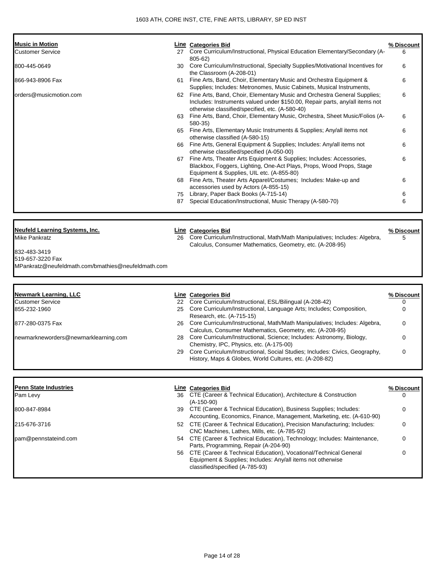| <b>Music in Motion</b>                                                 |     | <b>Line Categories Bid</b>                                                                                                                                                                                     | % Discount             |
|------------------------------------------------------------------------|-----|----------------------------------------------------------------------------------------------------------------------------------------------------------------------------------------------------------------|------------------------|
| Customer Service                                                       |     | 27 Core Curriculum/Instructional, Physical Education Elementary/Secondary (A-<br>$805 - 62$                                                                                                                    | 6                      |
| 800-445-0649                                                           |     | 30 Core Curriculum/Instructional, Specialty Supplies/Motivational Incentives for<br>the Classroom (A-208-01)                                                                                                   | 6                      |
| 866-943-8906 Fax                                                       |     | 61 Fine Arts, Band, Choir, Elementary Music and Orchestra Equipment &<br>Supplies; Includes: Metronomes, Music Cabinets, Musical Instruments,                                                                  | 6                      |
| orders@musicmotion.com                                                 |     | 62 Fine Arts, Band, Choir, Elementary Music and Orchestra General Supplies;<br>Includes: Instruments valued under \$150.00, Repair parts, any/all items not<br>otherwise classified/specified, etc. (A-580-40) | 6                      |
|                                                                        | 63. | Fine Arts, Band, Choir, Elementary Music, Orchestra, Sheet Music/Folios (A-<br>580-35)                                                                                                                         | 6                      |
|                                                                        |     | 65 Fine Arts, Elementary Music Instruments & Supplies; Any/all items not<br>otherwise classified (A-580-15)                                                                                                    | 6                      |
|                                                                        |     | 66 Fine Arts, General Equipment & Supplies; Includes: Any/all items not<br>otherwise classified/specified (A-050-00)                                                                                           | 6                      |
|                                                                        | 67  | Fine Arts, Theater Arts Equipment & Supplies; Includes: Accessories,<br>Blackbox, Foggers, Lighting, One-Act Plays, Props, Wood Props, Stage<br>Equipment & Supplies, UIL etc. (A-855-80)                      | 6                      |
|                                                                        |     | 68 Fine Arts, Theater Arts Apparel/Costumes; Includes: Make-up and<br>accessories used by Actors (A-855-15)                                                                                                    | 6                      |
|                                                                        | 87  | 75 Library, Paper Back Books (A-715-14)<br>Special Education/Instructional, Music Therapy (A-580-70)                                                                                                           | 6<br>6                 |
|                                                                        |     |                                                                                                                                                                                                                |                        |
| <b>Neufeld Learning Systems, Inc.</b>                                  |     |                                                                                                                                                                                                                |                        |
| Mike Pankratz                                                          | 26  | <b>Line Categories Bid</b><br>Core Curriculum/Instructional, Math/Math Manipulatives; Includes: Algebra,<br>Calculus, Consumer Mathematics, Geometry, etc. (A-208-95)                                          | <u>% Discount</u><br>5 |
| 832-483-3419                                                           |     |                                                                                                                                                                                                                |                        |
| 519-657-3220 Fax<br>MPankratz@neufeldmath.com/bmathies@neufeldmath.com |     |                                                                                                                                                                                                                |                        |
|                                                                        |     |                                                                                                                                                                                                                |                        |
| <b>Newmark Learning, LLC</b>                                           |     | <b>Line Categories Bid</b>                                                                                                                                                                                     | % Discount             |
| Customer Service                                                       |     |                                                                                                                                                                                                                |                        |
| 855-232-1960                                                           | 25  | 22 Core Curriculum/Instructional, ESL/Bilingual (A-208-42)<br>Core Curriculum/Instructional, Language Arts; Includes; Composition,                                                                             | 0<br>0                 |
| 877-280-0375 Fax                                                       |     | Research, etc. (A-715-15)<br>26 Core Curriculum/Instructional, Math/Math Manipulatives; Includes: Algebra,                                                                                                     | 0                      |
| newmarkneworders@newmarklearning.com                                   |     | Calculus, Consumer Mathematics, Geometry, etc. (A-208-95)<br>28 Core Curriculum/Instructional, Science; Includes: Astronomy, Biology,                                                                          | 0                      |
|                                                                        | 29  | Chemistry, IPC, Physics, etc. (A-175-00)<br>Core Curriculum/Instructional, Social Studies; Includes: Civics, Geography,<br>History, Maps & Globes, World Cultures, etc. (A-208-82)                             |                        |
|                                                                        |     |                                                                                                                                                                                                                |                        |
| <b>Penn State Industries</b>                                           |     | Line Categories Bid                                                                                                                                                                                            | <u>% Discount</u>      |
| Pam Levy                                                               |     | 36 CTE (Career & Technical Education), Architecture & Construction<br>$(A-150-90)$                                                                                                                             |                        |
| 800-847-8984                                                           |     | 39 CTE (Career & Technical Education), Business Supplies; Includes:<br>Accounting, Economics, Finance, Management, Marketing, etc. (A-610-90)                                                                  | 0                      |
| 215-676-3716                                                           |     | 52 CTE (Career & Technical Education), Precision Manufacturing; Includes:<br>CNC Machines, Lathes, Mills, etc. (A-785-92)                                                                                      | $\Omega$               |
| pam@pennstateind.com                                                   |     | 54 CTE (Career & Technical Education), Technology; Includes: Maintenance,<br>Parts, Programming, Repair (A-204-90)                                                                                             | 0                      |

56 CTE (Career & Technical Education), Vocational/Technical General Equipment & Supplies; Includes: Any/all items not otherwise classified/specified (A-785-93) 0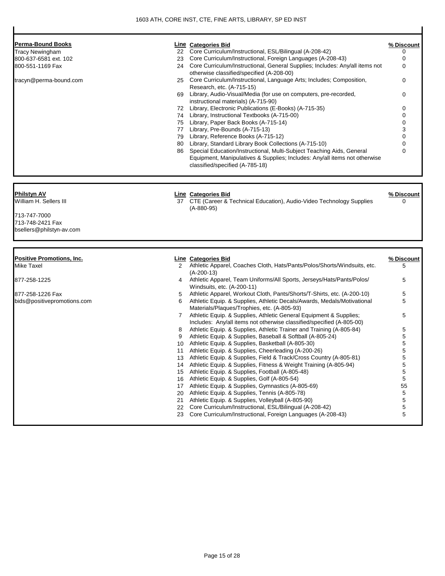| Perma-Bound Books                                            |                      | <b>Line</b> Categories Bid                                                                                                                                                             | % Discount      |
|--------------------------------------------------------------|----------------------|----------------------------------------------------------------------------------------------------------------------------------------------------------------------------------------|-----------------|
| Tracy Newingham                                              | 22                   | Core Curriculum/Instructional, ESL/Bilingual (A-208-42)                                                                                                                                | 0               |
| 800-637-6581 ext. 102                                        | 23                   | Core Curriculum/Instructional, Foreign Languages (A-208-43)                                                                                                                            | 0               |
| 800-551-1169 Fax                                             | 24                   | Core Curriculum/Instructional, General Supplies; Includes: Any/all items not<br>otherwise classified/specified (A-208-00)                                                              | 0               |
| tracyn@perma-bound.com                                       | 25                   | Core Curriculum/Instructional, Language Arts; Includes; Composition,<br>Research, etc. (A-715-15)                                                                                      | 0               |
|                                                              | 69                   | Library, Audio-Visual/Media (for use on computers, pre-recorded,<br>instructional materials) (A-715-90)                                                                                | 0               |
|                                                              | 72                   | Library, Electronic Publications (E-Books) (A-715-35)                                                                                                                                  | 0               |
|                                                              | 74                   | Library, Instructional Textbooks (A-715-00)                                                                                                                                            | 0               |
|                                                              |                      | 75 Library, Paper Back Books (A-715-14)                                                                                                                                                | 0               |
|                                                              | 77                   | Library, Pre-Bounds (A-715-13)                                                                                                                                                         | 3               |
|                                                              | 79                   | Library, Reference Books (A-715-12)                                                                                                                                                    | 0               |
|                                                              | 80                   | Library, Standard Library Book Collections (A-715-10)                                                                                                                                  | 0               |
|                                                              | 86                   | Special Education/Instructional, Multi-Subject Teaching Aids, General<br>Equipment, Manipulatives & Supplies; Includes: Any/all items not otherwise<br>classified/specified (A-785-18) | 0               |
|                                                              |                      |                                                                                                                                                                                        |                 |
| 713-747-7000<br>713-748-2421 Fax<br>bsellers@philstyn-av.com |                      |                                                                                                                                                                                        |                 |
| Positive Promotions, Inc.                                    |                      | <b>Line Categories Bid</b>                                                                                                                                                             |                 |
| Mike Taxel                                                   | $\mathbf{2}^{\circ}$ | Athletic Apparel, Coaches Cloth, Hats/Pants/Polos/Shorts/Windsuits, etc.<br>$(A-200-13)$                                                                                               | 5               |
| 877-258-1225                                                 | 4                    | Athletic Apparel, Team Uniforms/All Sports, Jerseys/Hats/Pants/Polos/<br>Windsuits, etc. (A-200-11)                                                                                    | % Discount<br>5 |
|                                                              | 5                    | Athletic Apparel, Workout Cloth, Pants/Shorts/T-Shirts, etc. (A-200-10)                                                                                                                | 5               |
|                                                              | 6                    | Athletic Equip. & Supplies, Athletic Decals/Awards, Medals/Motivational<br>Materials/Plaques/Trophies, etc. (A-805-93)                                                                 | 5               |
|                                                              | 7                    | Athletic Equip. & Supplies, Athletic General Equipment & Supplies;<br>Includes: Any/all items not otherwise classified/specified (A-805-00)                                            | 5               |
|                                                              | 8                    | Athletic Equip. & Supplies, Athletic Trainer and Training (A-805-84)                                                                                                                   | 5               |
|                                                              | 9                    | Athletic Equip. & Supplies, Baseball & Softball (A-805-24)                                                                                                                             | 5               |
|                                                              | 10                   | Athletic Equip. & Supplies, Basketball (A-805-30)                                                                                                                                      | 5               |
|                                                              |                      | Athletic Equip. & Supplies, Cheerleading (A-200-26)                                                                                                                                    |                 |
|                                                              | 13                   | Athletic Equip. & Supplies, Field & Track/Cross Country (A-805-81)                                                                                                                     | 5               |
|                                                              | 14                   | Athletic Equip. & Supplies, Fitness & Weight Training (A-805-94)                                                                                                                       | 5               |
|                                                              | 15                   | Athletic Equip. & Supplies, Football (A-805-48)                                                                                                                                        | 5               |
|                                                              | 16                   | Athletic Equip. & Supplies, Golf (A-805-54)                                                                                                                                            | 5               |
|                                                              | 17                   | Athletic Equip. & Supplies, Gymnastics (A-805-69)                                                                                                                                      | 55              |
|                                                              | 20                   | Athletic Equip. & Supplies, Tennis (A-805-78)                                                                                                                                          | 5               |
|                                                              | 21                   | Athletic Equip. & Supplies, Volleyball (A-805-90)                                                                                                                                      | 5               |
| 877-258-1226 Fax<br>bids@positivepromotions.com              | 22<br>23             | Core Curriculum/Instructional, ESL/Bilingual (A-208-42)<br>Core Curriculum/Instructional, Foreign Languages (A-208-43)                                                                 | 5<br>5          |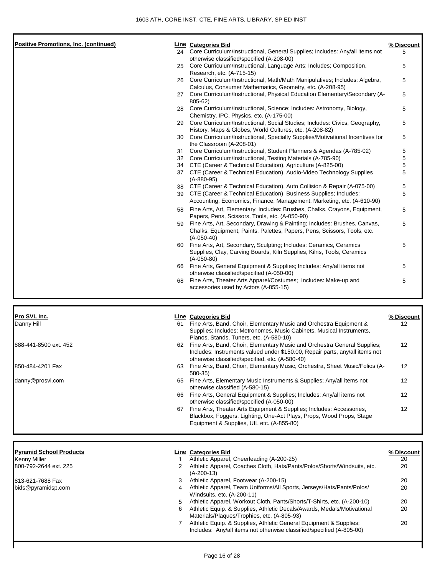| <b>Positive Promotions, Inc. (continued)</b>          |        | Line Categories Bid                                                                                                                                                                                         | % Discount       |
|-------------------------------------------------------|--------|-------------------------------------------------------------------------------------------------------------------------------------------------------------------------------------------------------------|------------------|
|                                                       | 24     | Core Curriculum/Instructional, General Supplies; Includes: Any/all items not                                                                                                                                | 5                |
|                                                       | 25     | otherwise classified/specified (A-208-00)<br>Core Curriculum/Instructional, Language Arts; Includes; Composition,<br>Research, etc. (A-715-15)                                                              | 5                |
|                                                       | 26     | Core Curriculum/Instructional, Math/Math Manipulatives; Includes: Algebra,<br>Calculus, Consumer Mathematics, Geometry, etc. (A-208-95)                                                                     | 5                |
|                                                       | 27     | Core Curriculum/Instructional, Physical Education Elementary/Secondary (A-<br>805-62)                                                                                                                       | 5                |
|                                                       | 28     | Core Curriculum/Instructional, Science; Includes: Astronomy, Biology,<br>Chemistry, IPC, Physics, etc. (A-175-00)                                                                                           | 5                |
|                                                       | 29     | Core Curriculum/Instructional, Social Studies; Includes: Civics, Geography,<br>History, Maps & Globes, World Cultures, etc. (A-208-82)                                                                      | 5                |
|                                                       | 30     | Core Curriculum/Instructional, Specialty Supplies/Motivational Incentives for<br>the Classroom (A-208-01)                                                                                                   | 5                |
|                                                       | 31     | Core Curriculum/Instructional, Student Planners & Agendas (A-785-02)                                                                                                                                        | 5                |
|                                                       |        | 32 Core Curriculum/Instructional, Testing Materials (A-785-90)                                                                                                                                              | 5                |
|                                                       |        | 34 CTE (Career & Technical Education), Agriculture (A-825-00)<br>37 CTE (Career & Technical Education), Audio-Video Technology Supplies                                                                     | 5<br>5           |
|                                                       |        | $(A-880-95)$                                                                                                                                                                                                |                  |
|                                                       |        | 38 CTE (Career & Technical Education), Auto Collision & Repair (A-075-00)<br>39 CTE (Career & Technical Education), Business Supplies; Includes:                                                            | 5<br>5           |
|                                                       |        | Accounting, Economics, Finance, Management, Marketing, etc. (A-610-90)                                                                                                                                      |                  |
|                                                       | 58     | Fine Arts, Art, Elementary; Includes: Brushes, Chalks, Crayons, Equipment,<br>Papers, Pens, Scissors, Tools, etc. (A-050-90)                                                                                | 5                |
|                                                       | 59     | Fine Arts, Art, Secondary, Drawing & Painting; Includes: Brushes, Canvas,<br>Chalks, Equipment, Paints, Palettes, Papers, Pens, Scissors, Tools, etc.<br>$(A-050-40)$                                       | 5                |
|                                                       |        | 60 Fine Arts, Art, Secondary, Sculpting; Includes: Ceramics, Ceramics<br>Supplies, Clay, Carving Boards, Kiln Supplies, Kilns, Tools, Ceramics<br>$(A-050-80)$                                              | 5                |
|                                                       |        | 66 Fine Arts, General Equipment & Supplies; Includes: Any/all items not<br>otherwise classified/specified (A-050-00)                                                                                        | 5                |
|                                                       | 68     | Fine Arts, Theater Arts Apparel/Costumes; Includes: Make-up and<br>accessories used by Actors (A-855-15)                                                                                                    | 5                |
|                                                       |        |                                                                                                                                                                                                             |                  |
| Pro SVL Inc.                                          |        | <b>Line Categories Bid</b>                                                                                                                                                                                  | % Discount       |
| Danny Hill                                            |        | 61 Fine Arts, Band, Choir, Elementary Music and Orchestra Equipment &<br>Supplies; Includes: Metronomes, Music Cabinets, Musical Instruments,<br>Pianos, Stands, Tuners, etc. (A-580-10)                    | 12               |
| 888-441-8500 ext. 452                                 | 62     | Fine Arts, Band, Choir, Elementary Music and Orchestra General Supplies;<br>Includes: Instruments valued under \$150.00, Repair parts, any/all items not<br>otherwise classified/specified, etc. (A-580-40) | 12               |
| 850-484-4201 Fax                                      | 63     | Fine Arts, Band, Choir, Elementary Music, Orchestra, Sheet Music/Folios (A-<br>580-35)                                                                                                                      | 12               |
| danny@prosvl.com                                      | 65     | Fine Arts, Elementary Music Instruments & Supplies; Any/all items not<br>otherwise classified (A-580-15)                                                                                                    | 12               |
|                                                       |        | 66 Fine Arts, General Equipment & Supplies; Includes: Any/all items not<br>otherwise classified/specified (A-050-00)                                                                                        | 12               |
|                                                       | 67     | Fine Arts, Theater Arts Equipment & Supplies; Includes: Accessories,<br>Blackbox, Foggers, Lighting, One-Act Plays, Props, Wood Props, Stage<br>Equipment & Supplies, UIL etc. (A-855-80)                   | 12               |
|                                                       |        |                                                                                                                                                                                                             |                  |
| <b>Pyramid School Products</b><br><b>Kenny Miller</b> | 1      | <b>Line Categories Bid</b><br>Athletic Apparel, Cheerleading (A-200-25)                                                                                                                                     | % Discount<br>20 |
| 800-792-2644 ext. 225                                 | 2      | Athletic Apparel, Coaches Cloth, Hats/Pants/Polos/Shorts/Windsuits, etc.<br>$(A-200-13)$                                                                                                                    | 20               |
| 813-621-7688 Fax                                      | 3      | Athletic Apparel, Footwear (A-200-15)                                                                                                                                                                       | 20               |
| bids@pyramidsp.com                                    | 4      | Athletic Apparel, Team Uniforms/All Sports, Jerseys/Hats/Pants/Polos/<br>Windsuits, etc. (A-200-11)                                                                                                         | 20               |
|                                                       | 5<br>6 | Athletic Apparel, Workout Cloth, Pants/Shorts/T-Shirts, etc. (A-200-10)<br>Athletic Equip. & Supplies, Athletic Decals/Awards, Medals/Motivational                                                          | 20<br>20         |

Materials/Plaques/Trophies, etc. (A-805-93) 7 Athletic Equip. & Supplies, Athletic General Equipment & Supplies; Includes: Any/all items not otherwise classified/specified (A-805-00) 20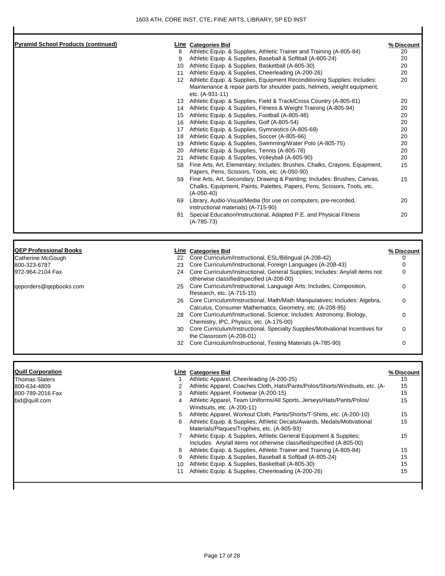| <b>Pyramid School Products (continued)</b> |                | <b>Line Categories Bid</b>                                                                                                | % Discount       |
|--------------------------------------------|----------------|---------------------------------------------------------------------------------------------------------------------------|------------------|
|                                            | 8              | Athletic Equip. & Supplies, Athletic Trainer and Training (A-805-84)                                                      | 20               |
|                                            | 9              | Athletic Equip. & Supplies, Baseball & Softball (A-805-24)                                                                | 20               |
|                                            |                | 10 Athletic Equip. & Supplies, Basketball (A-805-30)                                                                      | 20               |
|                                            |                | 11 Athletic Equip. & Supplies, Cheerleading (A-200-26)                                                                    | 20               |
|                                            |                | 12 Athletic Equip. & Supplies, Equipment Reconditioning Supplies; Includes:                                               | 20               |
|                                            |                | Maintenance & repair parts for shoulder pads, helmets, weight equipment,                                                  |                  |
|                                            |                | etc. (A-931-11)                                                                                                           |                  |
|                                            |                | 13 Athletic Equip. & Supplies, Field & Track/Cross Country (A-805-81)                                                     | 20<br>20         |
|                                            |                | 14 Athletic Equip. & Supplies, Fitness & Weight Training (A-805-94)<br>15 Athletic Equip. & Supplies, Football (A-805-48) | 20               |
|                                            |                | 16 Athletic Equip. & Supplies, Golf (A-805-54)                                                                            | 20               |
|                                            |                | 17 Athletic Equip. & Supplies, Gymnastics (A-805-69)                                                                      | 20               |
|                                            |                | 18 Athletic Equip. & Supplies, Soccer (A-805-66)                                                                          | 20               |
|                                            |                | 19 Athletic Equip. & Supplies, Swimming/Water Polo (A-805-75)                                                             | 20               |
|                                            |                | 20 Athletic Equip. & Supplies, Tennis (A-805-78)                                                                          | 20               |
|                                            | 21             | Athletic Equip. & Supplies, Volleyball (A-805-90)                                                                         | 20               |
|                                            |                | 58 Fine Arts, Art, Elementary; Includes: Brushes, Chalks, Crayons, Equipment,                                             | 15               |
|                                            |                | Papers, Pens, Scissors, Tools, etc. (A-050-90)                                                                            |                  |
|                                            |                | 59 Fine Arts, Art, Secondary, Drawing & Painting; Includes: Brushes, Canvas,                                              | 15               |
|                                            |                | Chalks, Equipment, Paints, Palettes, Papers, Pens, Scissors, Tools, etc.<br>$(A-050-40)$                                  |                  |
|                                            |                | 69 Library, Audio-Visual/Media (for use on computers, pre-recorded,<br>instructional materials) (A-715-90)                | 20               |
|                                            | 81             | Special Education/Instructional, Adapted P.E. and Physical Fitness                                                        | 20               |
|                                            |                | $(A-785-73)$                                                                                                              |                  |
|                                            |                |                                                                                                                           |                  |
| <b>QEP Professional Books</b>              |                | <b>Line Categories Bid</b>                                                                                                | % Discount       |
| Catherine McGough                          |                | 22 Core Curriculum/Instructional, ESL/Bilingual (A-208-42)                                                                | 0                |
| 800-323-6787                               |                | 23 Core Curriculum/Instructional, Foreign Languages (A-208-43)                                                            | 0                |
| 972-964-2104 Fax                           |                | 24 Core Curriculum/Instructional, General Supplies; Includes: Any/all items not                                           | $\Omega$         |
|                                            |                | otherwise classified/specified (A-208-00)                                                                                 |                  |
| geporders@gepbooks.com                     |                | 25 Core Curriculum/Instructional, Language Arts; Includes; Composition,                                                   | $\Omega$         |
|                                            |                | Research, etc. (A-715-15)                                                                                                 |                  |
|                                            |                | 26 Core Curriculum/Instructional, Math/Math Manipulatives; Includes: Algebra,                                             | $\Omega$         |
|                                            |                | Calculus, Consumer Mathematics, Geometry, etc. (A-208-95)                                                                 |                  |
|                                            |                | 28 Core Curriculum/Instructional, Science; Includes: Astronomy, Biology,<br>Chemistry, IPC, Physics, etc. (A-175-00)      | $\Omega$         |
|                                            |                | 30 Core Curriculum/Instructional, Specialty Supplies/Motivational Incentives for                                          | $\Omega$         |
|                                            |                | the Classroom (A-208-01)                                                                                                  |                  |
|                                            |                | 32 Core Curriculum/Instructional, Testing Materials (A-785-90)                                                            | $\Omega$         |
|                                            |                |                                                                                                                           |                  |
| <b>Quill Corporation</b>                   |                | <b>Line Categories Bid</b>                                                                                                |                  |
| <b>Thomas Slaters</b>                      |                | Athletic Apparel, Cheerleading (A-200-25)                                                                                 | % Discount<br>15 |
| 800-634-4809                               | 2              | Athletic Apparel, Coaches Cloth, Hats/Pants/Polos/Shorts/Windsuits, etc. (A-                                              | 15               |
| 800-789-2016 Fax                           | 3              | Athletic Apparel, Footwear (A-200-15)                                                                                     | 15               |
| bid@quill.com                              | $\overline{4}$ | Athletic Apparel, Team Uniforms/All Sports, Jerseys/Hats/Pants/Polos/                                                     | 15               |
|                                            |                | Windsuits, etc. (A-200-11)                                                                                                |                  |
|                                            | 5              | Athletic Apparel, Workout Cloth, Pants/Shorts/T-Shirts, etc. (A-200-10)                                                   | 15               |
|                                            | 6              | Athletic Equip. & Supplies, Athletic Decals/Awards, Medals/Motivational<br>Materials/Plaques/Trophies, etc. (A-805-93)    | 15               |
|                                            | $\overline{7}$ | Athletic Equip. & Supplies, Athletic General Equipment & Supplies;                                                        | 15               |
|                                            |                | Includes: Any/all items not otherwise classified/specified (A-805-00)                                                     |                  |
|                                            | 8              | Athletic Equip. & Supplies, Athletic Trainer and Training (A-805-84)                                                      | 15               |
|                                            | 9              | Athletic Equip. & Supplies, Baseball & Softball (A-805-24)                                                                | 15               |
|                                            | 10             | Athletic Equip. & Supplies, Basketball (A-805-30)                                                                         | 15               |
|                                            | 11             | Athletic Equip. & Supplies, Cheerleading (A-200-26)                                                                       | 15               |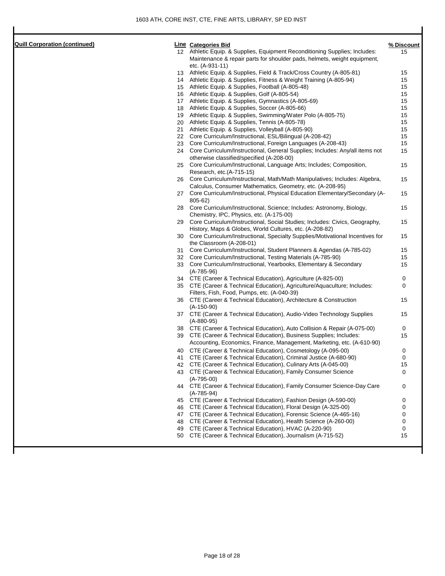| <b>Quill Corporation (continued)</b> |    | <b>Line Categories Bid</b>                                                                                               | % Discount |
|--------------------------------------|----|--------------------------------------------------------------------------------------------------------------------------|------------|
|                                      |    | 12 Athletic Equip. & Supplies, Equipment Reconditioning Supplies; Includes:                                              | 15         |
|                                      |    | Maintenance & repair parts for shoulder pads, helmets, weight equipment,                                                 |            |
|                                      |    | etc. (A-931-11)                                                                                                          |            |
|                                      |    | 13 Athletic Equip. & Supplies, Field & Track/Cross Country (A-805-81)                                                    | 15         |
|                                      |    | 14 Athletic Equip. & Supplies, Fitness & Weight Training (A-805-94)                                                      | 15         |
|                                      |    | 15 Athletic Equip. & Supplies, Football (A-805-48)                                                                       | 15         |
|                                      |    | 16 Athletic Equip. & Supplies, Golf (A-805-54)                                                                           | 15         |
|                                      |    | 17 Athletic Equip. & Supplies, Gymnastics (A-805-69)                                                                     | 15         |
|                                      |    | 18 Athletic Equip. & Supplies, Soccer (A-805-66)                                                                         | 15         |
|                                      |    | 19 Athletic Equip. & Supplies, Swimming/Water Polo (A-805-75)                                                            | 15<br>15   |
|                                      | 21 | 20 Athletic Equip. & Supplies, Tennis (A-805-78)<br>Athletic Equip. & Supplies, Volleyball (A-805-90)                    | 15         |
|                                      |    | 22 Core Curriculum/Instructional, ESL/Bilingual (A-208-42)                                                               | 15         |
|                                      | 23 | Core Curriculum/Instructional, Foreign Languages (A-208-43)                                                              | 15         |
|                                      |    | 24 Core Curriculum/Instructional, General Supplies; Includes: Any/all items not                                          | 15         |
|                                      |    | otherwise classified/specified (A-208-00)                                                                                |            |
|                                      | 25 | Core Curriculum/Instructional, Language Arts; Includes; Composition,<br>Research, etc.(A-715-15)                         | 15         |
|                                      | 26 | Core Curriculum/Instructional, Math/Math Manipulatives; Includes: Algebra,                                               | 15         |
|                                      |    | Calculus, Consumer Mathematics, Geometry, etc. (A-208-95)                                                                |            |
|                                      |    | 27 Core Curriculum/Instructional, Physical Education Elementary/Secondary (A-<br>805-62)                                 | 15         |
|                                      | 28 | Core Curriculum/Instructional, Science; Includes: Astronomy, Biology,                                                    | 15         |
|                                      |    | Chemistry, IPC, Physics, etc. (A-175-00)                                                                                 |            |
|                                      | 29 | Core Curriculum/Instructional, Social Studies; Includes: Civics, Geography,                                              | 15         |
|                                      |    | History, Maps & Globes, World Cultures, etc. (A-208-82)                                                                  |            |
|                                      | 30 | Core Curriculum/Instructional, Specialty Supplies/Motivational Incentives for                                            | 15         |
|                                      |    | the Classroom (A-208-01)                                                                                                 |            |
|                                      | 31 | Core Curriculum/Instructional, Student Planners & Agendas (A-785-02)                                                     | 15         |
|                                      |    | 32 Core Curriculum/Instructional, Testing Materials (A-785-90)                                                           | 15         |
|                                      |    | 33 Core Curriculum/Instructional, Yearbooks, Elementary & Secondary<br>$(A-785-96)$                                      | 15         |
|                                      |    | 34 CTE (Career & Technical Education), Agriculture (A-825-00)                                                            | 0          |
|                                      |    | 35 CTE (Career & Technical Education), Agriculture/Aquaculture; Includes:<br>Filters, Fish, Food, Pumps, etc. (A-040-39) | 0          |
|                                      |    | 36 CTE (Career & Technical Education), Architecture & Construction                                                       | 15         |
|                                      |    | $(A-150-90)$<br>37 CTE (Career & Technical Education), Audio-Video Technology Supplies                                   | 15         |
|                                      |    | $(A-880-95)$                                                                                                             |            |
|                                      |    | 38 CTE (Career & Technical Education), Auto Collision & Repair (A-075-00)                                                | 0          |
|                                      |    | 39 CTE (Career & Technical Education), Business Supplies; Includes:                                                      | 15         |
|                                      |    | Accounting, Economics, Finance, Management, Marketing, etc. (A-610-90)                                                   |            |
|                                      |    | 40 CTE (Career & Technical Education), Cosmetology (A-095-00)                                                            | 0          |
|                                      |    | 41 CTE (Career & Technical Education), Criminal Justice (A-680-90)                                                       | 0          |
|                                      |    | 42 CTE (Career & Technical Education), Culinary Arts (A-045-00)                                                          | 15         |
|                                      |    | 43 CTE (Career & Technical Education), Family Consumer Science<br>$(A-795-00)$                                           | 0          |
|                                      |    | 44 CTE (Career & Technical Education), Family Consumer Science-Day Care<br>$(A-785-94)$                                  | 0          |
|                                      |    | 45 CTE (Career & Technical Education), Fashion Design (A-590-00)                                                         | 0          |
|                                      |    | 46 CTE (Career & Technical Education), Floral Design (A-325-00)                                                          | 0          |
|                                      |    | 47 CTE (Career & Technical Education), Forensic Science (A-465-16)                                                       | 0          |
|                                      |    | 48 CTE (Career & Technical Education), Health Science (A-260-00)                                                         | 0          |
|                                      |    | 49 CTE (Career & Technical Education), HVAC (A-220-90)                                                                   | 0          |
|                                      |    | 50 CTE (Career & Technical Education), Journalism (A-715-52)                                                             | 15         |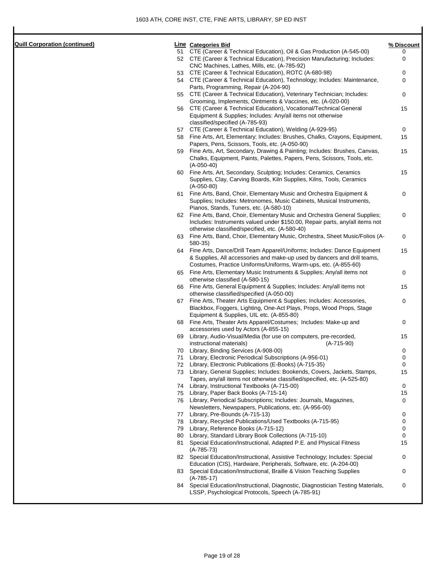| <b>Quill Corporation (continued</b> |  |
|-------------------------------------|--|
|                                     |  |

| Quill Corporation (continued) |    | <b>Line</b> Categories Bid                                                                                                                  | % Discount |
|-------------------------------|----|---------------------------------------------------------------------------------------------------------------------------------------------|------------|
|                               |    | 51 CTE (Career & Technical Education), Oil & Gas Production (A-545-00)                                                                      | 0          |
|                               |    | 52 CTE (Career & Technical Education), Precision Manufacturing; Includes:                                                                   | 0          |
|                               |    | CNC Machines, Lathes, Mills, etc. (A-785-92)                                                                                                |            |
|                               |    | 53 CTE (Career & Technical Education), ROTC (A-680-98)                                                                                      | 0          |
|                               |    | 54 CTE (Career & Technical Education), Technology; Includes: Maintenance,                                                                   | 0          |
|                               |    | Parts, Programming, Repair (A-204-90)                                                                                                       |            |
|                               |    | 55 CTE (Career & Technical Education), Veterinary Technician; Includes:                                                                     | 0          |
|                               |    | Grooming, Implements, Ointments & Vaccines, etc. (A-020-00)                                                                                 |            |
|                               |    | 56 CTE (Career & Technical Education), Vocational/Technical General                                                                         | 15         |
|                               |    | Equipment & Supplies; Includes: Any/all items not otherwise<br>classified/specified (A-785-93)                                              |            |
|                               |    | 57 CTE (Career & Technical Education), Welding (A-929-95)                                                                                   | 0          |
|                               |    | 58 Fine Arts, Art, Elementary; Includes: Brushes, Chalks, Crayons, Equipment,                                                               | 15         |
|                               |    | Papers, Pens, Scissors, Tools, etc. (A-050-90)                                                                                              |            |
|                               |    | 59 Fine Arts, Art, Secondary, Drawing & Painting; Includes: Brushes, Canvas,                                                                | 15         |
|                               |    | Chalks, Equipment, Paints, Palettes, Papers, Pens, Scissors, Tools, etc.                                                                    |            |
|                               |    | $(A-050-40)$                                                                                                                                |            |
|                               |    | 60 Fine Arts, Art, Secondary, Sculpting; Includes: Ceramics, Ceramics                                                                       | 15         |
|                               |    | Supplies, Clay, Carving Boards, Kiln Supplies, Kilns, Tools, Ceramics                                                                       |            |
|                               |    | $(A-050-80)$                                                                                                                                |            |
|                               |    | 61 Fine Arts, Band, Choir, Elementary Music and Orchestra Equipment &                                                                       | 0          |
|                               |    | Supplies; Includes: Metronomes, Music Cabinets, Musical Instruments,                                                                        |            |
|                               |    | Pianos, Stands, Tuners, etc. (A-580-10)                                                                                                     |            |
|                               |    | 62 Fine Arts, Band, Choir, Elementary Music and Orchestra General Supplies;                                                                 | 0          |
|                               |    | Includes: Instruments valued under \$150.00, Repair parts, any/all items not                                                                |            |
|                               |    | otherwise classified/specified, etc. (A-580-40)                                                                                             |            |
|                               |    | 63 Fine Arts, Band, Choir, Elementary Music, Orchestra, Sheet Music/Folios (A-                                                              | 0          |
|                               |    | 580-35)                                                                                                                                     |            |
|                               |    | 64 Fine Arts, Dance/Drill Team Apparel/Uniforms; Includes: Dance Equipment                                                                  | 15         |
|                               |    | & Supplies, All accessories and make-up used by dancers and drill teams,<br>Costumes, Practice Uniforms/Uniforms, Warm-ups, etc. (A-855-60) |            |
|                               |    |                                                                                                                                             |            |
|                               |    | 65 Fine Arts, Elementary Music Instruments & Supplies; Any/all items not<br>otherwise classified (A-580-15)                                 | 0          |
|                               |    | 66 Fine Arts, General Equipment & Supplies; Includes: Any/all items not                                                                     | 15         |
|                               |    | otherwise classified/specified (A-050-00)                                                                                                   |            |
|                               |    | 67 Fine Arts, Theater Arts Equipment & Supplies; Includes: Accessories,                                                                     | 0          |
|                               |    | Blackbox, Foggers, Lighting, One-Act Plays, Props, Wood Props, Stage                                                                        |            |
|                               |    | Equipment & Supplies, UIL etc. (A-855-80)                                                                                                   |            |
|                               |    | 68 Fine Arts, Theater Arts Apparel/Costumes; Includes: Make-up and                                                                          | 0          |
|                               |    | accessories used by Actors (A-855-15)                                                                                                       |            |
|                               | 69 | Library, Audio-Visual/Media (for use on computers, pre-recorded,                                                                            | 15         |
|                               |    | instructional materials)<br>$(A-715-90)$                                                                                                    |            |
|                               | 70 | Library, Binding Services (A-908-00)                                                                                                        | 0          |
|                               | 71 | Library, Electronic Periodical Subscriptions (A-956-01)                                                                                     | 0          |
|                               | 72 | Library, Electronic Publications (E-Books) (A-715-35)                                                                                       | 0          |
|                               | 73 | Library, General Supplies; Includes: Bookends, Covers, Jackets, Stamps,                                                                     | 15         |
|                               |    | Tapes, any/all items not otherwise classified/specified, etc. (A-525-80)                                                                    |            |
|                               |    | 74 Library, Instructional Textbooks (A-715-00)                                                                                              | 0          |
|                               |    | 75 Library, Paper Back Books (A-715-14)                                                                                                     | 15         |
|                               |    | 76 Library, Periodical Subscriptions; Includes: Journals, Magazines,                                                                        | 0          |
|                               |    | Newsletters, Newspapers, Publications, etc. (A-956-00)<br>77 Library, Pre-Bounds (A-715-13)                                                 | 0          |
|                               | 78 | Library, Recycled Publications/Used Textbooks (A-715-95)                                                                                    | 0          |
|                               | 79 | Library, Reference Books (A-715-12)                                                                                                         | 0          |
|                               | 80 | Library, Standard Library Book Collections (A-715-10)                                                                                       | 0          |
|                               |    | 81 Special Education/Instructional, Adapted P.E. and Physical Fitness                                                                       | 15         |
|                               |    | $(A-785-73)$                                                                                                                                |            |
|                               |    | 82 Special Education/Instructional, Assistive Technology; Includes: Special                                                                 | 0          |
|                               |    | Education (CIS), Hardware, Peripherals, Software, etc. (A-204-00)                                                                           |            |
|                               |    | 83 Special Education/Instructional, Braille & Vision Teaching Supplies                                                                      | 0          |
|                               |    | $(A-785-17)$                                                                                                                                |            |
|                               |    | 84 Special Education/Instructional, Diagnostic, Diagnostician Testing Materials,                                                            | 0          |
|                               |    | LSSP, Psychological Protocols, Speech (A-785-91)                                                                                            |            |
|                               |    |                                                                                                                                             |            |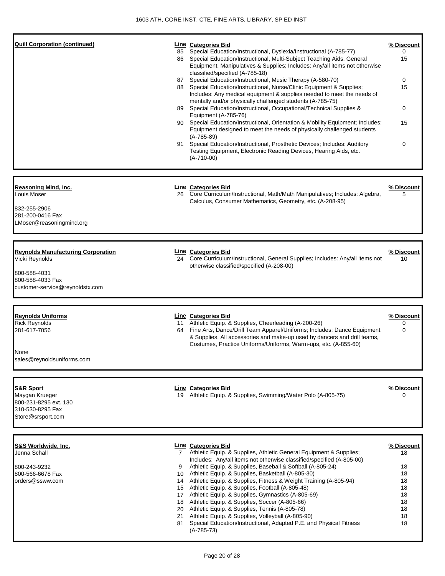| <b>Quill Corporation (continued)</b>                                                                                               | 85                        | Line Categories Bid<br>Special Education/Instructional, Dyslexia/Instructional (A-785-77)<br>86 Special Education/Instructional, Multi-Subject Teaching Aids, General<br>Equipment, Manipulatives & Supplies; Includes: Any/all items not otherwise<br>classified/specified (A-785-18)<br>87 Special Education/Instructional, Music Therapy (A-580-70)<br>88 Special Education/Instructional, Nurse/Clinic Equipment & Supplies;<br>Includes: Any medical equipment & supplies needed to meet the needs of<br>mentally and/or physically challenged students (A-785-75)<br>89 Special Education/Instructional, Occupational/Technical Supplies &<br>Equipment (A-785-76)<br>90 Special Education/Instructional, Orientation & Mobility Equipment; Includes:<br>Equipment designed to meet the needs of physically challenged students<br>$(A-785-89)$<br>91 Special Education/Instructional, Prosthetic Devices; Includes: Auditory<br>Testing Equipment, Electronic Reading Devices, Hearing Aids, etc.<br>$(A-710-00)$ | % Discount<br>$\Omega$<br>15<br>0<br>15<br>0<br>15<br>$\mathbf 0$      |
|------------------------------------------------------------------------------------------------------------------------------------|---------------------------|--------------------------------------------------------------------------------------------------------------------------------------------------------------------------------------------------------------------------------------------------------------------------------------------------------------------------------------------------------------------------------------------------------------------------------------------------------------------------------------------------------------------------------------------------------------------------------------------------------------------------------------------------------------------------------------------------------------------------------------------------------------------------------------------------------------------------------------------------------------------------------------------------------------------------------------------------------------------------------------------------------------------------|------------------------------------------------------------------------|
| Reasoning Mind, Inc.<br>Louis Moser<br>832-255-2906<br>281-200-0416 Fax<br>LMoser@reasoningmind.org                                | 26                        | <b>Line Categories Bid</b><br>Core Curriculum/Instructional, Math/Math Manipulatives; Includes: Algebra,<br>Calculus, Consumer Mathematics, Geometry, etc. (A-208-95)                                                                                                                                                                                                                                                                                                                                                                                                                                                                                                                                                                                                                                                                                                                                                                                                                                                    | % Discount<br>5                                                        |
| <b>Reynolds Manufacturing Corporation</b><br>Vicki Reynolds<br>800-588-4031<br>800-588-4033 Fax<br>customer-service@reynoldstx.com |                           | <b>Line Categories Bid</b><br>24 Core Curriculum/Instructional, General Supplies; Includes: Any/all items not<br>otherwise classified/specified (A-208-00)                                                                                                                                                                                                                                                                                                                                                                                                                                                                                                                                                                                                                                                                                                                                                                                                                                                               | % Discount<br>10                                                       |
| Reynolds Uniforms<br><b>Rick Reynolds</b><br>281-617-7056<br>None<br>sales@reynoldsuniforms.com                                    |                           | <b>Line Categories Bid</b><br>11 Athletic Equip. & Supplies, Cheerleading (A-200-26)<br>64 Fine Arts, Dance/Drill Team Apparel/Uniforms; Includes: Dance Equipment<br>& Supplies, All accessories and make-up used by dancers and drill teams,<br>Costumes, Practice Uniforms/Uniforms, Warm-ups, etc. (A-855-60)                                                                                                                                                                                                                                                                                                                                                                                                                                                                                                                                                                                                                                                                                                        | % Discount<br>0<br>$\mathbf 0$                                         |
| S&R Sport<br>Maygan Krueger<br>800-231-8295 ext. 130<br>310-530-8295 Fax<br>Store@srsport.com                                      |                           | <b>Line Categories Bid</b><br>19 Athletic Equip. & Supplies, Swimming/Water Polo (A-805-75)                                                                                                                                                                                                                                                                                                                                                                                                                                                                                                                                                                                                                                                                                                                                                                                                                                                                                                                              | % Discount<br>$\Omega$                                                 |
| S&S Worldwide, Inc.<br>Jenna Schall<br>800-243-9232<br>800-566-6678 Fax<br>orders@ssww.com                                         | $7\phantom{0}$<br>9<br>81 | <b>Line Categories Bid</b><br>Athletic Equip. & Supplies, Athletic General Equipment & Supplies;<br>Includes: Any/all items not otherwise classified/specified (A-805-00)<br>Athletic Equip. & Supplies, Baseball & Softball (A-805-24)<br>10 Athletic Equip. & Supplies, Basketball (A-805-30)<br>14 Athletic Equip. & Supplies, Fitness & Weight Training (A-805-94)<br>15 Athletic Equip. & Supplies, Football (A-805-48)<br>17 Athletic Equip. & Supplies, Gymnastics (A-805-69)<br>18 Athletic Equip. & Supplies, Soccer (A-805-66)<br>20 Athletic Equip. & Supplies, Tennis (A-805-78)<br>21 Athletic Equip. & Supplies, Volleyball (A-805-90)<br>Special Education/Instructional, Adapted P.E. and Physical Fitness<br>$(A-785-73)$                                                                                                                                                                                                                                                                               | % Discount<br>18<br>18<br>18<br>18<br>18<br>18<br>18<br>18<br>18<br>18 |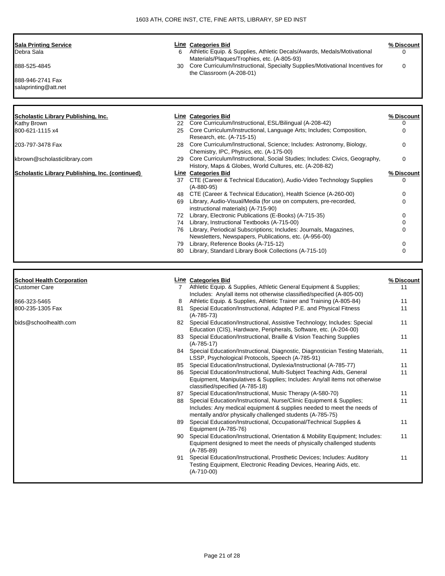| <b>Sala Printing Service</b><br>Debra Sala                | 6           | <b>Line</b> Categories Bid<br>Athletic Equip. & Supplies, Athletic Decals/Awards, Medals/Motivational<br>Materials/Plaques/Trophies, etc. (A-805-93)                                           | % Discount<br>0 |
|-----------------------------------------------------------|-------------|------------------------------------------------------------------------------------------------------------------------------------------------------------------------------------------------|-----------------|
| 888-525-4845                                              | 30          | Core Curriculum/Instructional, Specialty Supplies/Motivational Incentives for<br>the Classroom (A-208-01)                                                                                      | 0               |
| 888-946-2741 Fax<br>salaprinting@att.net                  |             |                                                                                                                                                                                                |                 |
|                                                           |             |                                                                                                                                                                                                |                 |
| <b>Scholastic Library Publishing, Inc.</b><br>Kathy Brown | 22          | <b>Line Categories Bid</b><br>Core Curriculum/Instructional, ESL/Bilingual (A-208-42)                                                                                                          | % Discount<br>0 |
| 800-621-1115 x4                                           | 25          | Core Curriculum/Instructional, Language Arts; Includes; Composition,                                                                                                                           | 0               |
| 203-797-3478 Fax                                          | 28          | Research, etc. (A-715-15)<br>Core Curriculum/Instructional, Science; Includes: Astronomy, Biology,<br>Chemistry, IPC, Physics, etc. (A-175-00)                                                 | 0               |
| kbrown@scholasticlibrary.com                              | 29          | Core Curriculum/Instructional, Social Studies; Includes: Civics, Geography,<br>History, Maps & Globes, World Cultures, etc. (A-208-82)                                                         | 0               |
| Scholastic Library Publishing, Inc. (continued)           |             | <b>Line Categories Bid</b>                                                                                                                                                                     | % Discount      |
|                                                           |             | 37 CTE (Career & Technical Education), Audio-Video Technology Supplies<br>$(A-880-95)$                                                                                                         | 0               |
|                                                           |             | 48 CTE (Career & Technical Education), Health Science (A-260-00)                                                                                                                               | 0               |
|                                                           |             | 69 Library, Audio-Visual/Media (for use on computers, pre-recorded,<br>instructional materials) (A-715-90)                                                                                     | 0               |
|                                                           |             | 72 Library, Electronic Publications (E-Books) (A-715-35)                                                                                                                                       | 0               |
|                                                           |             | 74 Library, Instructional Textbooks (A-715-00)                                                                                                                                                 | 0               |
|                                                           |             | 76 Library, Periodical Subscriptions; Includes: Journals, Magazines,                                                                                                                           | 0               |
|                                                           |             | Newsletters, Newspapers, Publications, etc. (A-956-00)<br>79 Library, Reference Books (A-715-12)                                                                                               | 0               |
|                                                           | 80          | Library, Standard Library Book Collections (A-715-10)                                                                                                                                          | 0               |
|                                                           |             |                                                                                                                                                                                                |                 |
| <b>School Health Corporation</b>                          |             | <b>Line Categories Bid</b>                                                                                                                                                                     | % Discount      |
| <b>Customer Care</b>                                      | $7^{\circ}$ | Athletic Equip. & Supplies, Athletic General Equipment & Supplies;<br>Includes: Any/all items not otherwise classified/specified (A-805-00)                                                    | 11              |
| 866-323-5465                                              | 8           | Athletic Equip. & Supplies, Athletic Trainer and Training (A-805-84)                                                                                                                           | 11              |
| 800-235-1305 Fax                                          | 81          | Special Education/Instructional, Adapted P.E. and Physical Fitness                                                                                                                             | 11              |
| bids@schoolhealth.com                                     |             | $(A-785-73)$<br>82 Special Education/Instructional, Assistive Technology; Includes: Special                                                                                                    | 11              |
|                                                           |             | Education (CIS), Hardware, Peripherals, Software, etc. (A-204-00)<br>83 Special Education/Instructional, Braille & Vision Teaching Supplies                                                    | 11              |
|                                                           | 84          | $(A-785-17)$<br>Special Education/Instructional, Diagnostic, Diagnostician Testing Materials,                                                                                                  | 11              |
|                                                           | 85          | LSSP, Psychological Protocols, Speech (A-785-91)<br>Special Education/Instructional, Dyslexia/Instructional (A-785-77)                                                                         | 11              |
|                                                           |             | 86 Special Education/Instructional, Multi-Subject Teaching Aids, General<br>Equipment, Manipulatives & Supplies; Includes: Any/all items not otherwise                                         | 11              |
|                                                           | 87          | classified/specified (A-785-18)<br>Special Education/Instructional, Music Therapy (A-580-70)                                                                                                   | 11              |
|                                                           | 88          | Special Education/Instructional, Nurse/Clinic Equipment & Supplies;<br>Includes: Any medical equipment & supplies needed to meet the needs of                                                  | 11              |
|                                                           | 89          | mentally and/or physically challenged students (A-785-75)<br>Special Education/Instructional, Occupational/Technical Supplies &                                                                | 11              |
|                                                           | 90          | Equipment (A-785-76)<br>Special Education/Instructional, Orientation & Mobility Equipment; Includes:<br>Equipment designed to meet the needs of physically challenged students<br>$(A-785-89)$ | 11              |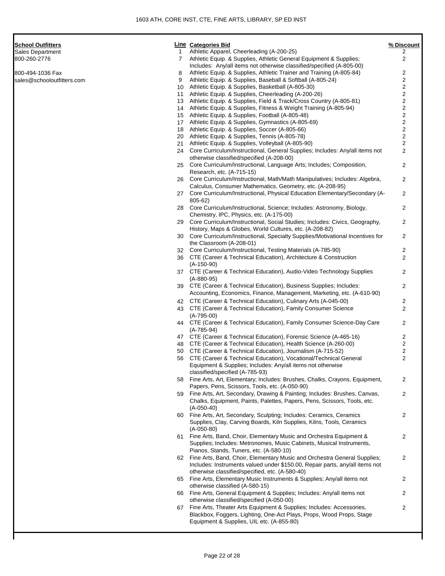| School Outfitters          |    | <b>Line Categories Bid</b>                                                                                                                  | % Discount                       |
|----------------------------|----|---------------------------------------------------------------------------------------------------------------------------------------------|----------------------------------|
| Sales Department           | 1  | Athletic Apparel, Cheerleading (A-200-25)                                                                                                   | 2                                |
| 800-260-2776               | 7  | Athletic Equip. & Supplies, Athletic General Equipment & Supplies;<br>Includes: Any/all items not otherwise classified/specified (A-805-00) | $\overline{2}$                   |
| 800-494-1036 Fax           | 8  | Athletic Equip. & Supplies, Athletic Trainer and Training (A-805-84)                                                                        | 2                                |
| sales@schooloutfitters.com | 9  | Athletic Equip. & Supplies, Baseball & Softball (A-805-24)                                                                                  | 2                                |
|                            | 10 | Athletic Equip. & Supplies, Basketball (A-805-30)                                                                                           | $\overline{c}$                   |
|                            | 11 | Athletic Equip. & Supplies, Cheerleading (A-200-26)                                                                                         | $\overline{\mathbf{c}}$          |
|                            | 13 | Athletic Equip. & Supplies, Field & Track/Cross Country (A-805-81)                                                                          | $\overline{\mathbf{c}}$          |
|                            | 14 | Athletic Equip. & Supplies, Fitness & Weight Training (A-805-94)                                                                            | $\overline{\mathbf{c}}$          |
|                            | 15 | Athletic Equip. & Supplies, Football (A-805-48)                                                                                             | $\overline{\mathbf{c}}$          |
|                            | 17 | Athletic Equip. & Supplies, Gymnastics (A-805-69)                                                                                           | $\mathbf{2}$                     |
|                            | 18 | Athletic Equip. & Supplies, Soccer (A-805-66)                                                                                               | $\overline{\mathbf{c}}$          |
|                            | 20 | Athletic Equip. & Supplies, Tennis (A-805-78)                                                                                               | $\overline{\mathbf{c}}$          |
|                            | 21 | Athletic Equip. & Supplies, Volleyball (A-805-90)                                                                                           | $\overline{2}$<br>$\overline{2}$ |
|                            | 24 | Core Curriculum/Instructional, General Supplies; Includes: Any/all items not<br>otherwise classified/specified (A-208-00)                   |                                  |
|                            | 25 | Core Curriculum/Instructional, Language Arts; Includes; Composition,                                                                        | 2                                |
|                            |    | Research, etc. (A-715-15)                                                                                                                   |                                  |
|                            |    | 26 Core Curriculum/Instructional, Math/Math Manipulatives; Includes: Algebra,                                                               | 2                                |
|                            |    | Calculus, Consumer Mathematics, Geometry, etc. (A-208-95)                                                                                   |                                  |
|                            |    | 27 Core Curriculum/Instructional, Physical Education Elementary/Secondary (A-                                                               | 2                                |
|                            |    | 805-62)                                                                                                                                     |                                  |
|                            | 28 | Core Curriculum/Instructional, Science; Includes: Astronomy, Biology,                                                                       | 2                                |
|                            |    | Chemistry, IPC, Physics, etc. (A-175-00)                                                                                                    |                                  |
|                            |    | 29 Core Curriculum/Instructional, Social Studies; Includes: Civics, Geography,                                                              | 2                                |
|                            |    | History, Maps & Globes, World Cultures, etc. (A-208-82)                                                                                     |                                  |
|                            |    | 30 Core Curriculum/Instructional, Specialty Supplies/Motivational Incentives for                                                            | $\overline{2}$                   |
|                            | 32 | the Classroom (A-208-01)<br>Core Curriculum/Instructional, Testing Materials (A-785-90)                                                     | 2                                |
|                            |    | 36 CTE (Career & Technical Education), Architecture & Construction                                                                          | $\overline{2}$                   |
|                            |    | $(A-150-90)$                                                                                                                                |                                  |
|                            |    | 37 CTE (Career & Technical Education), Audio-Video Technology Supplies<br>$(A-880-95)$                                                      | $\overline{2}$                   |
|                            |    | 39 CTE (Career & Technical Education), Business Supplies; Includes:                                                                         | 2                                |
|                            |    | Accounting, Economics, Finance, Management, Marketing, etc. (A-610-90)                                                                      |                                  |
|                            |    | 42 CTE (Career & Technical Education), Culinary Arts (A-045-00)                                                                             | 2                                |
|                            |    | 43 CTE (Career & Technical Education), Family Consumer Science                                                                              | $\overline{2}$                   |
|                            |    | $(A-795-00)$                                                                                                                                |                                  |
|                            |    | 44 CTE (Career & Technical Education), Family Consumer Science-Day Care                                                                     | 2                                |
|                            |    | $(A-785-94)$                                                                                                                                |                                  |
|                            |    | 47 CTE (Career & Technical Education), Forensic Science (A-465-16)                                                                          | 2                                |
|                            | 48 | CTE (Career & Technical Education), Health Science (A-260-00)                                                                               | 2                                |
|                            |    | 50 CTE (Career & Technical Education), Journalism (A-715-52)                                                                                | $\overline{c}$                   |
|                            |    | 56 CTE (Career & Technical Education), Vocational/Technical General                                                                         | 2                                |
|                            |    | Equipment & Supplies; Includes: Any/all items not otherwise                                                                                 |                                  |
|                            |    | classified/specified (A-785-93)<br>58 Fine Arts, Art, Elementary; Includes: Brushes, Chalks, Crayons, Equipment,                            | 2                                |
|                            |    | Papers, Pens, Scissors, Tools, etc. (A-050-90)                                                                                              |                                  |
|                            |    | 59 Fine Arts, Art, Secondary, Drawing & Painting; Includes: Brushes, Canvas,                                                                | $\overline{2}$                   |
|                            |    | Chalks, Equipment, Paints, Palettes, Papers, Pens, Scissors, Tools, etc.                                                                    |                                  |
|                            |    | $(A-050-40)$                                                                                                                                |                                  |
|                            |    | 60 Fine Arts, Art, Secondary, Sculpting; Includes: Ceramics, Ceramics                                                                       | 2                                |
|                            |    | Supplies, Clay, Carving Boards, Kiln Supplies, Kilns, Tools, Ceramics                                                                       |                                  |
|                            |    | $(A-050-80)$                                                                                                                                |                                  |
|                            |    | 61 Fine Arts, Band, Choir, Elementary Music and Orchestra Equipment &                                                                       | 2                                |
|                            |    | Supplies; Includes: Metronomes, Music Cabinets, Musical Instruments,                                                                        |                                  |
|                            |    | Pianos, Stands, Tuners, etc. (A-580-10)                                                                                                     |                                  |
|                            |    | 62 Fine Arts, Band, Choir, Elementary Music and Orchestra General Supplies;                                                                 | 2                                |
|                            |    | Includes: Instruments valued under \$150.00, Repair parts, any/all items not<br>otherwise classified/specified, etc. (A-580-40)             |                                  |
|                            |    | 65 Fine Arts, Elementary Music Instruments & Supplies; Any/all items not                                                                    | 2                                |
|                            |    | otherwise classified (A-580-15)                                                                                                             |                                  |
|                            |    | 66 Fine Arts, General Equipment & Supplies; Includes: Any/all items not                                                                     | 2                                |
|                            |    | otherwise classified/specified (A-050-00)                                                                                                   |                                  |
|                            |    |                                                                                                                                             |                                  |

 Fine Arts, Theater Arts Equipment & Supplies; Includes: Accessories, Blackbox, Foggers, Lighting, One-Act Plays, Props, Wood Props, Stage Equipment & Supplies, UIL etc. (A-855-80)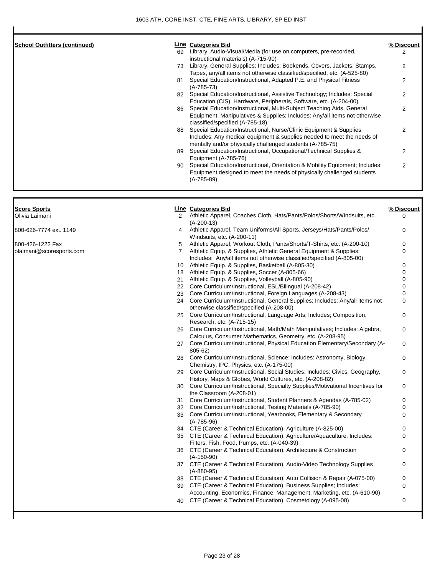$\overline{\phantom{a}}$ 

| <b>School Outfitters (continued)</b> |    | <b>Line Categories Bid</b>                                                                                                                                                                                 | % Discount     |
|--------------------------------------|----|------------------------------------------------------------------------------------------------------------------------------------------------------------------------------------------------------------|----------------|
|                                      | 69 | Library, Audio-Visual/Media (for use on computers, pre-recorded,                                                                                                                                           | $\overline{2}$ |
|                                      |    | instructional materials) (A-715-90)                                                                                                                                                                        |                |
|                                      | 73 | Library, General Supplies; Includes: Bookends, Covers, Jackets, Stamps,                                                                                                                                    | 2              |
|                                      |    | Tapes, any/all items not otherwise classified/specified, etc. (A-525-80)                                                                                                                                   |                |
|                                      | 81 | Special Education/Instructional, Adapted P.E. and Physical Fitness<br>$(A-785-73)$                                                                                                                         | $\mathcal{P}$  |
|                                      | 82 | Special Education/Instructional, Assistive Technology; Includes: Special<br>Education (CIS), Hardware, Peripherals, Software, etc. (A-204-00)                                                              | 2              |
|                                      | 86 | Special Education/Instructional, Multi-Subject Teaching Aids, General<br>Equipment, Manipulatives & Supplies; Includes: Any/all items not otherwise<br>classified/specified (A-785-18)                     | 2              |
|                                      | 88 | Special Education/Instructional, Nurse/Clinic Equipment & Supplies;<br>Includes: Any medical equipment & supplies needed to meet the needs of<br>mentally and/or physically challenged students (A-785-75) | 2              |
|                                      | 89 | Special Education/Instructional, Occupational/Technical Supplies &<br>Equipment (A-785-76)                                                                                                                 | 2              |
|                                      | 90 | Special Education/Instructional, Orientation & Mobility Equipment; Includes:<br>Equipment designed to meet the needs of physically challenged students<br>$(A-785-89)$                                     | 2              |
| <b>Score Sports</b>                  |    | Line Categories Bid                                                                                                                                                                                        | % Discount     |
| Olivia Laimani                       | 2  | Athletic Apparel, Coaches Cloth, Hats/Pants/Polos/Shorts/Windsuits, etc.                                                                                                                                   | $\Omega$       |
|                                      |    | $(A-200-13)$                                                                                                                                                                                               |                |
| 800-626-7774 ext. 1149               | 4  | Athletic Apparel, Team Uniforms/All Sports, Jerseys/Hats/Pants/Polos/                                                                                                                                      | $\Omega$       |
|                                      |    | Windsuits, etc. (A-200-11)                                                                                                                                                                                 |                |
| 800-426-1222 Fax                     | 5  | Athletic Apparel, Workout Cloth, Pants/Shorts/T-Shirts, etc. (A-200-10)                                                                                                                                    | $\Omega$       |
| olaimani@scoresports.com             |    | Athletic Equip. & Supplies, Athletic General Equipment & Supplies;<br>Includes: Any/all items not otherwise classified/specified (A-805-00)                                                                | O              |
|                                      | 10 | Athletic Equip. & Supplies, Basketball (A-805-30)                                                                                                                                                          | $\Omega$       |
|                                      | 18 | Athletic Equip. & Supplies, Soccer (A-805-66)                                                                                                                                                              | $\Omega$       |

| 21 | Athletic Equip. & Supplies, Volleyball (A-805-90)                                                                         | 0        |
|----|---------------------------------------------------------------------------------------------------------------------------|----------|
| 22 | Core Curriculum/Instructional, ESL/Bilingual (A-208-42)                                                                   | 0        |
| 23 | Core Curriculum/Instructional, Foreign Languages (A-208-43)                                                               | 0        |
| 24 | Core Curriculum/Instructional, General Supplies; Includes: Any/all items not<br>otherwise classified/specified (A-208-00) | $\Omega$ |
| 25 | Core Curriculum/Instructional, Language Arts; Includes; Composition,                                                      | $\Omega$ |
|    | Research, etc. (A-715-15)                                                                                                 |          |
| 26 | Core Curriculum/Instructional, Math/Math Manipulatives; Includes: Algebra,                                                | $\Omega$ |
|    | Calculus, Consumer Mathematics, Geometry, etc. (A-208-95)                                                                 |          |
| 27 | Core Curriculum/Instructional, Physical Education Elementary/Secondary (A-<br>805-62)                                     | $\Omega$ |
| 28 | Core Curriculum/Instructional, Science; Includes: Astronomy, Biology,                                                     | $\Omega$ |
|    | Chemistry, IPC, Physics, etc. (A-175-00)                                                                                  |          |
| 29 | Core Curriculum/Instructional, Social Studies; Includes: Civics, Geography,                                               | $\Omega$ |
|    | History, Maps & Globes, World Cultures, etc. (A-208-82)                                                                   |          |
| 30 | Core Curriculum/Instructional, Specialty Supplies/Motivational Incentives for<br>the Classroom (A-208-01)                 | 0        |
| 31 | Core Curriculum/Instructional, Student Planners & Agendas (A-785-02)                                                      | 0        |
| 32 | Core Curriculum/Instructional, Testing Materials (A-785-90)                                                               | 0        |
| 33 | Core Curriculum/Instructional, Yearbooks, Elementary & Secondary<br>$(A-785-96)$                                          | 0        |
|    | 34 CTE (Career & Technical Education), Agriculture (A-825-00)                                                             | 0        |
| 35 | CTE (Career & Technical Education), Agriculture/Aquaculture; Includes:                                                    | 0        |
|    | Filters, Fish, Food, Pumps, etc. (A-040-39)                                                                               |          |
| 36 | CTE (Career & Technical Education), Architecture & Construction                                                           | $\Omega$ |
|    | $(A-150-90)$                                                                                                              |          |
| 37 | CTE (Career & Technical Education), Audio-Video Technology Supplies                                                       | 0        |
|    | $(A - 880 - 95)$                                                                                                          |          |
| 38 | CTE (Career & Technical Education), Auto Collision & Repair (A-075-00)                                                    | $\Omega$ |
| 39 | CTE (Career & Technical Education), Business Supplies; Includes:                                                          | 0        |
|    | Accounting, Economics, Finance, Management, Marketing, etc. (A-610-90)                                                    |          |
|    |                                                                                                                           |          |

CTE (Career & Technical Education), Cosmetology (A-095-00) 0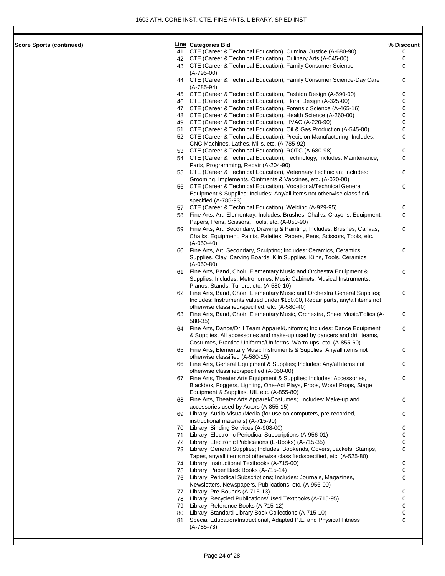**Score Sports (continued)** 

|    | Line Categories Bid                                                                                                                         | % Discoun |
|----|---------------------------------------------------------------------------------------------------------------------------------------------|-----------|
| 41 | CTE (Career & Technical Education), Criminal Justice (A-680-90)                                                                             | 0         |
| 42 | CTE (Career & Technical Education), Culinary Arts (A-045-00)                                                                                | 0         |
| 43 | CTE (Career & Technical Education), Family Consumer Science                                                                                 | 0         |
| 44 | $(A-795-00)$<br>CTE (Career & Technical Education), Family Consumer Science-Day Care<br>$(A-785-94)$                                        | 0         |
| 45 | CTE (Career & Technical Education), Fashion Design (A-590-00)                                                                               | 0         |
| 46 | CTE (Career & Technical Education), Floral Design (A-325-00)                                                                                | 0         |
| 47 | CTE (Career & Technical Education), Forensic Science (A-465-16)                                                                             | 0         |
| 48 | CTE (Career & Technical Education), Health Science (A-260-00)                                                                               | 0         |
| 49 | CTE (Career & Technical Education), HVAC (A-220-90)                                                                                         | 0         |
| 51 | CTE (Career & Technical Education), Oil & Gas Production (A-545-00)                                                                         | 0         |
| 52 | CTE (Career & Technical Education), Precision Manufacturing; Includes:                                                                      | 0         |
|    | CNC Machines, Lathes, Mills, etc. (A-785-92)                                                                                                |           |
| 53 | CTE (Career & Technical Education), ROTC (A-680-98)                                                                                         | 0         |
| 54 | CTE (Career & Technical Education), Technology; Includes: Maintenance,                                                                      | 0         |
|    | Parts, Programming, Repair (A-204-90)                                                                                                       |           |
| 55 | CTE (Career & Technical Education), Veterinary Technician; Includes:                                                                        | 0         |
|    | Grooming, Implements, Ointments & Vaccines, etc. (A-020-00)                                                                                 |           |
| 56 | CTE (Career & Technical Education), Vocational/Technical General<br>Equipment & Supplies; Includes: Any/all items not otherwise classified/ | 0         |
|    | specified (A-785-93)                                                                                                                        |           |
| 57 | CTE (Career & Technical Education), Welding (A-929-95)                                                                                      | 0         |
| 58 | Fine Arts, Art, Elementary; Includes: Brushes, Chalks, Crayons, Equipment,                                                                  | 0         |
|    | Papers, Pens, Scissors, Tools, etc. (A-050-90)                                                                                              |           |
| 59 | Fine Arts, Art, Secondary, Drawing & Painting; Includes: Brushes, Canvas,                                                                   | 0         |
|    | Chalks, Equipment, Paints, Palettes, Papers, Pens, Scissors, Tools, etc.                                                                    |           |
|    | (A-050-40)                                                                                                                                  |           |
| 60 | Fine Arts, Art, Secondary, Sculpting; Includes: Ceramics, Ceramics                                                                          | 0         |
|    | Supplies, Clay, Carving Boards, Kiln Supplies, Kilns, Tools, Ceramics                                                                       |           |
|    | $(A-050-80)$                                                                                                                                |           |
| 61 | Fine Arts, Band, Choir, Elementary Music and Orchestra Equipment &                                                                          | 0         |
|    | Supplies; Includes: Metronomes, Music Cabinets, Musical Instruments,                                                                        |           |
|    | Pianos, Stands, Tuners, etc. (A-580-10)                                                                                                     |           |
| 62 | Fine Arts, Band, Choir, Elementary Music and Orchestra General Supplies;                                                                    | 0         |
|    | Includes: Instruments valued under \$150.00, Repair parts, any/all items not                                                                |           |
|    | otherwise classified/specified, etc. (A-580-40)                                                                                             |           |
| 63 | Fine Arts, Band, Choir, Elementary Music, Orchestra, Sheet Music/Folios (A-                                                                 | 0         |
|    | 580-35)                                                                                                                                     |           |
| 64 | Fine Arts, Dance/Drill Team Apparel/Uniforms; Includes: Dance Equipment                                                                     | 0         |
|    | & Supplies, All accessories and make-up used by dancers and drill teams,                                                                    |           |
|    | Costumes, Practice Uniforms/Uniforms, Warm-ups, etc. (A-855-60)                                                                             |           |
| 65 | Fine Arts, Elementary Music Instruments & Supplies; Any/all items not                                                                       | 0         |
|    | otherwise classified (A-580-15)                                                                                                             |           |
| 66 | Fine Arts, General Equipment & Supplies; Includes: Any/all items not                                                                        | 0         |
|    | otherwise classified/specified (A-050-00)                                                                                                   |           |
| 67 | Fine Arts, Theater Arts Equipment & Supplies; Includes: Accessories,                                                                        | 0         |
|    | Blackbox, Foggers, Lighting, One-Act Plays, Props, Wood Props, Stage                                                                        |           |
|    | Equipment & Supplies, UIL etc. (A-855-80)                                                                                                   |           |
| 68 | Fine Arts, Theater Arts Apparel/Costumes; Includes: Make-up and                                                                             | 0         |
|    | accessories used by Actors (A-855-15)                                                                                                       |           |
| 69 | Library, Audio-Visual/Media (for use on computers, pre-recorded,                                                                            | 0         |
|    | instructional materials) (A-715-90)                                                                                                         |           |
| 70 | Library, Binding Services (A-908-00)                                                                                                        | 0         |
| 71 | Library, Electronic Periodical Subscriptions (A-956-01)                                                                                     | 0         |
| 72 | Library, Electronic Publications (E-Books) (A-715-35)                                                                                       | 0         |
| 73 | Library, General Supplies; Includes: Bookends, Covers, Jackets, Stamps,                                                                     | 0         |
|    | Tapes, any/all items not otherwise classified/specified, etc. (A-525-80)                                                                    |           |
| 74 | Library, Instructional Textbooks (A-715-00)                                                                                                 | 0         |
| 75 | Library, Paper Back Books (A-715-14)                                                                                                        | 0         |
| 76 | Library, Periodical Subscriptions; Includes: Journals, Magazines,                                                                           | 0         |
|    | Newsletters, Newspapers, Publications, etc. (A-956-00)                                                                                      |           |
| 77 | Library, Pre-Bounds (A-715-13)                                                                                                              | 0         |
| 78 | Library, Recycled Publications/Used Textbooks (A-715-95)                                                                                    | 0         |
| 79 | Library, Reference Books (A-715-12)                                                                                                         | 0         |
| 80 | Library, Standard Library Book Collections (A-715-10)                                                                                       | 0         |
| 81 | Special Education/Instructional, Adapted P.E. and Physical Fitness                                                                          | 0         |
|    | $(A-785-73)$                                                                                                                                |           |
|    |                                                                                                                                             |           |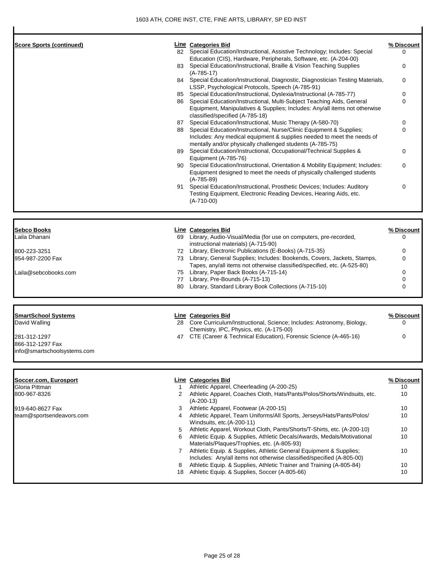| <b>Score Sports (continued)</b>                 |      | <b>Line Categories Bid</b>                                                                                                                     | % Discount        |
|-------------------------------------------------|------|------------------------------------------------------------------------------------------------------------------------------------------------|-------------------|
|                                                 |      | 82 Special Education/Instructional, Assistive Technology; Includes: Special                                                                    | 0                 |
|                                                 |      | Education (CIS), Hardware, Peripherals, Software, etc. (A-204-00)                                                                              |                   |
|                                                 |      | 83 Special Education/Instructional, Braille & Vision Teaching Supplies                                                                         | 0                 |
|                                                 |      | $(A-785-17)$                                                                                                                                   |                   |
|                                                 |      | 84 Special Education/Instructional, Diagnostic, Diagnostician Testing Materials,                                                               | 0                 |
|                                                 |      | LSSP, Psychological Protocols, Speech (A-785-91)                                                                                               |                   |
|                                                 | 86   | 85 Special Education/Instructional, Dyslexia/Instructional (A-785-77)<br>Special Education/Instructional, Multi-Subject Teaching Aids, General | 0<br>0            |
|                                                 |      | Equipment, Manipulatives & Supplies; Includes: Any/all items not otherwise                                                                     |                   |
|                                                 |      | classified/specified (A-785-18)                                                                                                                |                   |
|                                                 |      | 87 Special Education/Instructional, Music Therapy (A-580-70)                                                                                   | 0                 |
|                                                 |      | 88 Special Education/Instructional, Nurse/Clinic Equipment & Supplies;                                                                         | 0                 |
|                                                 |      | Includes: Any medical equipment & supplies needed to meet the needs of                                                                         |                   |
|                                                 |      | mentally and/or physically challenged students (A-785-75)                                                                                      |                   |
|                                                 | 89   | Special Education/Instructional, Occupational/Technical Supplies &                                                                             | 0                 |
|                                                 |      | Equipment (A-785-76)                                                                                                                           |                   |
|                                                 | 90 - | Special Education/Instructional, Orientation & Mobility Equipment; Includes:                                                                   | 0                 |
|                                                 |      | Equipment designed to meet the needs of physically challenged students                                                                         |                   |
|                                                 |      | $(A-785-89)$                                                                                                                                   |                   |
|                                                 | 91   | Special Education/Instructional, Prosthetic Devices; Includes: Auditory                                                                        | 0                 |
|                                                 |      | Testing Equipment, Electronic Reading Devices, Hearing Aids, etc.                                                                              |                   |
|                                                 |      | $(A-710-00)$                                                                                                                                   |                   |
|                                                 |      |                                                                                                                                                |                   |
| <b>Sebco Books</b>                              |      | <b>Line Categories Bid</b>                                                                                                                     | % Discount        |
| Laila Dhanani                                   |      | 69 Library, Audio-Visual/Media (for use on computers, pre-recorded,                                                                            | 0                 |
|                                                 |      | instructional materials) (A-715-90)                                                                                                            |                   |
| 800-223-3251                                    |      | 72 Library, Electronic Publications (E-Books) (A-715-35)                                                                                       | 0                 |
| 954-987-2200 Fax                                |      | 73 Library, General Supplies; Includes: Bookends, Covers, Jackets, Stamps,                                                                     | 0                 |
|                                                 |      | Tapes, any/all items not otherwise classified/specified, etc. (A-525-80)                                                                       |                   |
| Laila@sebcobooks.com                            |      | 75 Library, Paper Back Books (A-715-14)                                                                                                        | 0                 |
|                                                 | 80   | 77 Library, Pre-Bounds (A-715-13)<br>Library, Standard Library Book Collections (A-715-10)                                                     | 0<br>0            |
|                                                 |      |                                                                                                                                                |                   |
|                                                 |      |                                                                                                                                                |                   |
| <b>SmartSchool Systems</b>                      |      | <b>Line Categories Bid</b>                                                                                                                     | <u>% Discount</u> |
| David Walling                                   |      | 28 Core Curriculum/Instructional, Science; Includes: Astronomy, Biology,                                                                       | 0                 |
|                                                 |      | Chemistry, IPC, Physics, etc. (A-175-00)                                                                                                       |                   |
| 281-312-1297                                    |      | 47 CTE (Career & Technical Education), Forensic Science (A-465-16)                                                                             | 0                 |
| 866-312-1297 Fax<br>info@smartschoolsystems.com |      |                                                                                                                                                |                   |
|                                                 |      |                                                                                                                                                |                   |
|                                                 |      |                                                                                                                                                |                   |
| Soccer.com, Eurosport                           |      | <b>Line Categories Bid</b>                                                                                                                     | % Discount        |
| Gloria Pittman                                  | 1    | Athletic Apparel, Cheerleading (A-200-25)                                                                                                      | 10                |
| 800-967-8326                                    | 2    | Athletic Apparel, Coaches Cloth, Hats/Pants/Polos/Shorts/Windsuits, etc.                                                                       | 10                |
|                                                 |      | $(A-200-13)$                                                                                                                                   |                   |
| 919-640-8627 Fax                                | 3    | Athletic Apparel, Footwear (A-200-15)                                                                                                          | 10                |
| team@sportsendeavors.com                        | 4    | Athletic Apparel, Team Uniforms/All Sports, Jerseys/Hats/Pants/Polos/                                                                          | 10                |
|                                                 |      | Windsuits, etc.(A-200-11)                                                                                                                      |                   |
|                                                 | 5    | Athletic Apparel, Workout Cloth, Pants/Shorts/T-Shirts, etc. (A-200-10)                                                                        | 10                |
|                                                 | 6    | Athletic Equip. & Supplies, Athletic Decals/Awards, Medals/Motivational                                                                        | 10                |
|                                                 |      | Materials/Plaques/Trophies, etc. (A-805-93)                                                                                                    |                   |
|                                                 | 7    | Athletic Equip. & Supplies, Athletic General Equipment & Supplies;                                                                             | 10                |
|                                                 | 8    | Includes: Any/all items not otherwise classified/specified (A-805-00)<br>Athletic Equip. & Supplies, Athletic Trainer and Training (A-805-84)  | 10                |
|                                                 |      | 18 Athletic Equip. & Supplies, Soccer (A-805-66)                                                                                               | 10                |
|                                                 |      |                                                                                                                                                |                   |
|                                                 |      |                                                                                                                                                |                   |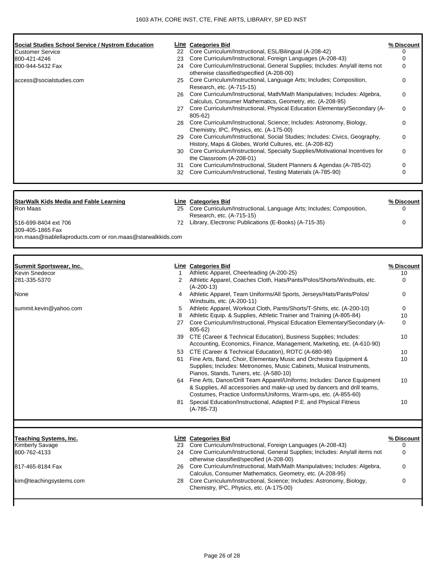| Social Studies School Service / Nystrom Education                               |    | <b>Line</b> Categories Bid                                                                                                                  | % Discount      |
|---------------------------------------------------------------------------------|----|---------------------------------------------------------------------------------------------------------------------------------------------|-----------------|
| Customer Service                                                                | 22 | Core Curriculum/Instructional, ESL/Bilingual (A-208-42)                                                                                     | 0               |
| 800-421-4246                                                                    | 23 | Core Curriculum/Instructional, Foreign Languages (A-208-43)                                                                                 | $\mathbf 0$     |
| 800-944-5432 Fax                                                                |    | 24 Core Curriculum/Instructional, General Supplies; Includes: Any/all items not                                                             | $\mathbf 0$     |
| access@socialstudies.com                                                        | 25 | otherwise classified/specified (A-208-00)<br>Core Curriculum/Instructional, Language Arts; Includes; Composition,                           | 0               |
|                                                                                 |    | Research, etc. (A-715-15)                                                                                                                   |                 |
|                                                                                 |    | 26 Core Curriculum/Instructional, Math/Math Manipulatives; Includes: Algebra,                                                               | 0               |
|                                                                                 |    | Calculus, Consumer Mathematics, Geometry, etc. (A-208-95)                                                                                   |                 |
|                                                                                 |    | 27 Core Curriculum/Instructional, Physical Education Elementary/Secondary (A-<br>805-62)                                                    | 0               |
|                                                                                 |    | 28 Core Curriculum/Instructional, Science; Includes: Astronomy, Biology,<br>Chemistry, IPC, Physics, etc. (A-175-00)                        | 0               |
|                                                                                 | 29 | Core Curriculum/Instructional, Social Studies; Includes: Civics, Geography,                                                                 | 0               |
|                                                                                 |    | History, Maps & Globes, World Cultures, etc. (A-208-82)<br>30 Core Curriculum/Instructional, Specialty Supplies/Motivational Incentives for | 0               |
|                                                                                 |    | the Classroom (A-208-01)                                                                                                                    |                 |
|                                                                                 | 31 | Core Curriculum/Instructional, Student Planners & Agendas (A-785-02)                                                                        | 0               |
|                                                                                 |    | 32 Core Curriculum/Instructional, Testing Materials (A-785-90)                                                                              | $\Omega$        |
|                                                                                 |    |                                                                                                                                             |                 |
| <b>StarWalk Kids Media and Fable Learning</b>                                   |    | Line Categories Bid                                                                                                                         | % Discount      |
| Ron Maas                                                                        | 25 | Core Curriculum/Instructional, Language Arts; Includes; Composition,                                                                        | 0               |
|                                                                                 |    | Research, etc. (A-715-15)                                                                                                                   |                 |
| 516-699-8404 ext 706                                                            |    | 72 Library, Electronic Publications (E-Books) (A-715-35)                                                                                    | 0               |
| 309-405-1865 Fax<br>ron.maas@isablellaproducts.com or ron.maas@starwalkkids.com |    |                                                                                                                                             |                 |
|                                                                                 |    |                                                                                                                                             |                 |
|                                                                                 |    |                                                                                                                                             |                 |
| Summit Sportswear, Inc.                                                         |    | <b>Line Categories Bid</b>                                                                                                                  | % Discount      |
| Kevin Snedecor                                                                  | 1  | Athletic Apparel, Cheerleading (A-200-25)                                                                                                   | 10              |
| 281-335-5370                                                                    | 2  | Athletic Apparel, Coaches Cloth, Hats/Pants/Polos/Shorts/Windsuits, etc.                                                                    | 0               |
| None                                                                            |    | $(A-200-13)$<br>Athletic Apparel, Team Uniforms/All Sports, Jerseys/Hats/Pants/Polos/                                                       | 0               |
|                                                                                 | 4  |                                                                                                                                             |                 |
|                                                                                 |    | Windsuits, etc. (A-200-11)                                                                                                                  |                 |
| summit.kevin@yahoo.com                                                          | 5  | Athletic Apparel, Workout Cloth, Pants/Shorts/T-Shirts, etc. (A-200-10)                                                                     | 0               |
|                                                                                 | 8  | Athletic Equip. & Supplies, Athletic Trainer and Training (A-805-84)                                                                        | 10              |
|                                                                                 |    | 27 Core Curriculum/Instructional, Physical Education Elementary/Secondary (A-                                                               | 0               |
|                                                                                 | 39 | 805-62)<br>CTE (Career & Technical Education), Business Supplies; Includes:                                                                 | 10              |
|                                                                                 |    | Accounting, Economics, Finance, Management, Marketing, etc. (A-610-90)                                                                      |                 |
|                                                                                 | 53 | CTE (Career & Technical Education), ROTC (A-680-98)                                                                                         | 10              |
|                                                                                 | 61 | Fine Arts, Band, Choir, Elementary Music and Orchestra Equipment &                                                                          | 10              |
|                                                                                 |    | Supplies; Includes: Metronomes, Music Cabinets, Musical Instruments,                                                                        |                 |
|                                                                                 |    | Pianos, Stands, Tuners, etc. (A-580-10)                                                                                                     |                 |
|                                                                                 |    | 64 Fine Arts, Dance/Drill Team Apparel/Uniforms; Includes: Dance Equipment                                                                  | 10              |
|                                                                                 |    | & Supplies, All accessories and make-up used by dancers and drill teams,<br>Costumes, Practice Uniforms/Uniforms, Warm-ups, etc. (A-855-60) |                 |
|                                                                                 | 81 | Special Education/Instructional, Adapted P.E. and Physical Fitness                                                                          | 10              |
|                                                                                 |    | $(A-785-73)$                                                                                                                                |                 |
|                                                                                 |    |                                                                                                                                             |                 |
|                                                                                 |    |                                                                                                                                             |                 |
| Teaching Systems, Inc.<br>Kimberly Savage                                       |    | <b>Line Categories Bid</b><br>23 Core Curriculum/Instructional, Foreign Languages (A-208-43)                                                | % Discount<br>0 |
| 800-762-4133                                                                    |    | 24 Core Curriculum/Instructional, General Supplies; Includes: Any/all items not                                                             | $\mathbf 0$     |
|                                                                                 |    | otherwise classified/specified (A-208-00)                                                                                                   |                 |
| 817-465-8184 Fax                                                                |    | 26 Core Curriculum/Instructional, Math/Math Manipulatives; Includes: Algebra,                                                               | 0               |
| kim@teachingsystems.com                                                         | 28 | Calculus, Consumer Mathematics, Geometry, etc. (A-208-95)<br>Core Curriculum/Instructional, Science; Includes: Astronomy, Biology,          | 0               |
|                                                                                 |    | Chemistry, IPC, Physics, etc. (A-175-00)                                                                                                    |                 |
|                                                                                 |    |                                                                                                                                             |                 |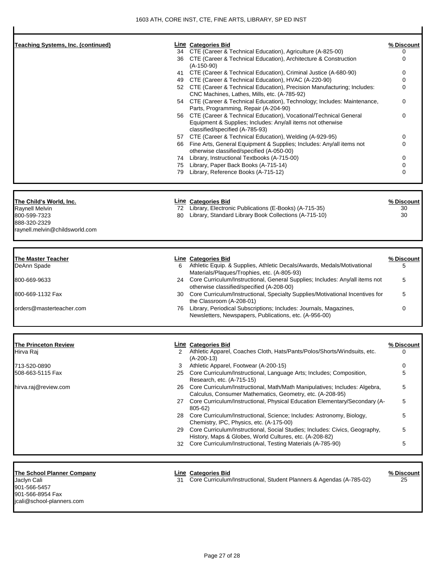| Teaching Systems, Inc. (continued) |    | Line Categories Bid                                                                                                                       | % Discount      |
|------------------------------------|----|-------------------------------------------------------------------------------------------------------------------------------------------|-----------------|
|                                    |    | 34 CTE (Career & Technical Education), Agriculture (A-825-00)                                                                             | 0               |
|                                    |    | 36 CTE (Career & Technical Education), Architecture & Construction<br>$(A-150-90)$                                                        | 0               |
|                                    |    | 41 CTE (Career & Technical Education), Criminal Justice (A-680-90)                                                                        | 0               |
|                                    |    | 49 CTE (Career & Technical Education), HVAC (A-220-90)                                                                                    | $\Omega$        |
|                                    |    | 52 CTE (Career & Technical Education), Precision Manufacturing; Includes:                                                                 | $\Omega$        |
|                                    |    | CNC Machines, Lathes, Mills, etc. (A-785-92)                                                                                              |                 |
|                                    |    | 54 CTE (Career & Technical Education), Technology; Includes: Maintenance,<br>Parts, Programming, Repair (A-204-90)                        | 0               |
|                                    |    | 56 CTE (Career & Technical Education), Vocational/Technical General                                                                       | 0               |
|                                    |    | Equipment & Supplies; Includes: Any/all items not otherwise<br>classified/specified (A-785-93)                                            |                 |
|                                    |    | 57 CTE (Career & Technical Education), Welding (A-929-95)                                                                                 | 0               |
|                                    |    | 66 Fine Arts, General Equipment & Supplies; Includes: Any/all items not                                                                   | $\Omega$        |
|                                    |    | otherwise classified/specified (A-050-00)                                                                                                 |                 |
|                                    |    | 74 Library, Instructional Textbooks (A-715-00)                                                                                            | $\Omega$        |
|                                    |    | 75 Library, Paper Back Books (A-715-14)                                                                                                   | $\Omega$        |
|                                    |    | 79 Library, Reference Books (A-715-12)                                                                                                    | 0               |
|                                    |    |                                                                                                                                           |                 |
| The Child's World, Inc.            |    | <b>Line Categories Bid</b>                                                                                                                | % Discount      |
| Raynell Melvin                     |    | 72 Library, Electronic Publications (E-Books) (A-715-35)                                                                                  | 30              |
| 800-599-7323                       |    | 80 Library, Standard Library Book Collections (A-715-10)                                                                                  | 30              |
| 888-320-2329                       |    |                                                                                                                                           |                 |
| raynell.melvin@childsworld.com     |    |                                                                                                                                           |                 |
|                                    |    |                                                                                                                                           |                 |
|                                    |    |                                                                                                                                           |                 |
| <b>The Master Teacher</b>          |    | <b>Line Categories Bid</b>                                                                                                                |                 |
| DeAnn Spade                        | 6  | Athletic Equip. & Supplies, Athletic Decals/Awards, Medals/Motivational                                                                   | 5               |
| 800-669-9633                       |    | Materials/Plaques/Trophies, etc. (A-805-93)<br>24 Core Curriculum/Instructional, General Supplies; Includes: Any/all items not            | 5               |
|                                    |    | otherwise classified/specified (A-208-00)                                                                                                 |                 |
| 800-669-1132 Fax                   |    | 30 Core Curriculum/Instructional, Specialty Supplies/Motivational Incentives for                                                          | 5               |
|                                    |    | the Classroom (A-208-01)                                                                                                                  |                 |
| orders@masterteacher.com           | 76 | Library, Periodical Subscriptions; Includes: Journals, Magazines,                                                                         | % Discount<br>0 |
|                                    |    | Newsletters, Newspapers, Publications, etc. (A-956-00)                                                                                    |                 |
| <u>The Princeton Review</u>        |    | <b>Line Categories Bid</b>                                                                                                                | % Discount      |
| Hirva Raj                          |    | 2 Athletic Apparel, Coaches Cloth, Hats/Pants/Polos/Shorts/Windsuits, etc.                                                                |                 |
|                                    |    | $(A-200-13)$                                                                                                                              |                 |
| 713-520-0890                       | 3  | Athletic Apparel, Footwear (A-200-15)                                                                                                     | 0               |
| 508-663-5115 Fax                   | 25 | Core Curriculum/Instructional, Language Arts; Includes; Composition,<br>Research, etc. (A-715-15)                                         | 5               |
| hirva.raj@review.com               |    | 26 Core Curriculum/Instructional, Math/Math Manipulatives; Includes: Algebra,                                                             | 5               |
|                                    |    | Calculus, Consumer Mathematics, Geometry, etc. (A-208-95)                                                                                 |                 |
|                                    |    | 27 Core Curriculum/Instructional, Physical Education Elementary/Secondary (A-                                                             | 5               |
|                                    |    | 805-62)                                                                                                                                   |                 |
|                                    |    | 28 Core Curriculum/Instructional, Science; Includes: Astronomy, Biology,                                                                  | 5               |
|                                    |    | Chemistry, IPC, Physics, etc. (A-175-00)                                                                                                  |                 |
|                                    |    | 29 Core Curriculum/Instructional, Social Studies; Includes: Civics, Geography,<br>History, Maps & Globes, World Cultures, etc. (A-208-82) | 5               |

## **The School Planner Company Line Categories Bid % Discount**

901-566-5457 901-566-8954 Fax jcali@school-planners.com

Jaclyn Cali 31 Core Curriculum/Instructional, Student Planners & Agendas (A-785-02) 25